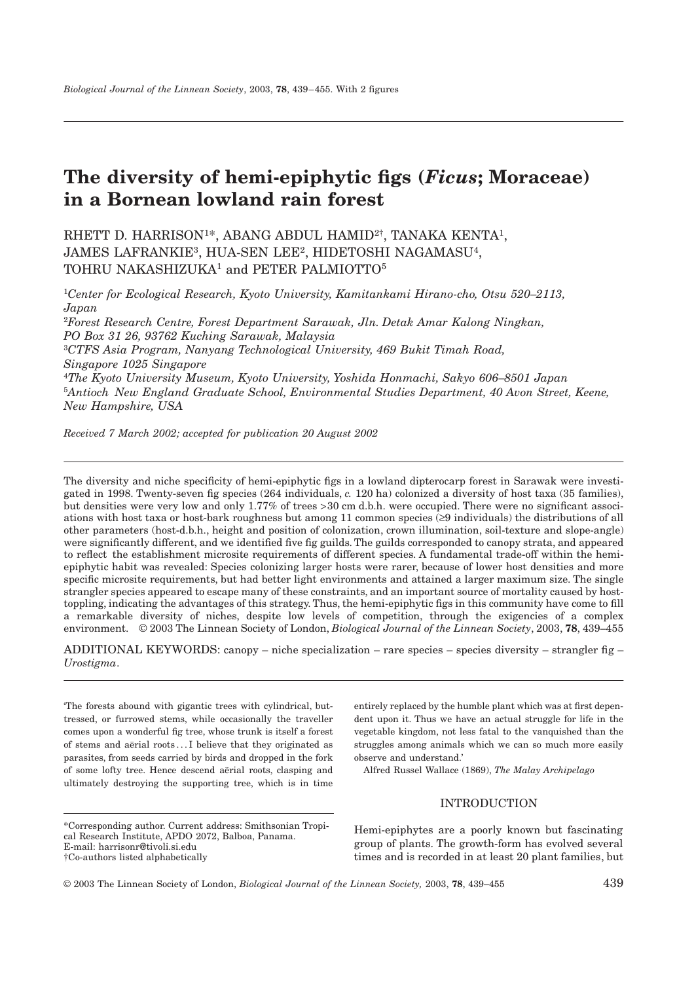# **The diversity of hemi-epiphytic figs (***Ficus***; Moraceae) in a Bornean lowland rain forest**

RHETT D. HARRISON<sup>1\*</sup>, ABANG ABDUL HAMID<sup>2†</sup>, TANAKA KENTA<sup>1</sup>, JAMES LAFRANKIE3, HUA-SEN LEE2, HIDETOSHI NAGAMASU4, TOHRU NAKASHIZUKA<sup>1</sup> and PETER PALMIOTTO<sup>5</sup>

<sup>1</sup>*Center for Ecological Research, Kyoto University, Kamitankami Hirano-cho, Otsu 520–2113, Japan* <sup>2</sup>*Forest Research Centre, Forest Department Sarawak, Jln. Detak Amar Kalong Ningkan, PO Box 31 26, 93762 Kuching Sarawak, Malaysia* <sup>3</sup>*CTFS Asia Program, Nanyang Technological University, 469 Bukit Timah Road, Singapore 1025 Singapore* <sup>4</sup>*The Kyoto University Museum, Kyoto University, Yoshida Honmachi, Sakyo 606–8501 Japan* <sup>5</sup>*Antioch New England Graduate School, Environmental Studies Department, 40 Avon Street, Keene, New Hampshire, USA*

*Received 7 March 2002; accepted for publication 20 August 2002*

The diversity and niche specificity of hemi-epiphytic figs in a lowland dipterocarp forest in Sarawak were investigated in 1998. Twenty-seven fig species (264 individuals, *c.* 120 ha) colonized a diversity of host taxa (35 families), but densities were very low and only 1.77% of trees >30 cm d.b.h. were occupied. There were no significant associations with host taxa or host-bark roughness but among 11 common species (≥9 individuals) the distributions of all other parameters (host-d.b.h., height and position of colonization, crown illumination, soil-texture and slope-angle) were significantly different, and we identified five fig guilds. The guilds corresponded to canopy strata, and appeared to reflect the establishment microsite requirements of different species. A fundamental trade-off within the hemiepiphytic habit was revealed: Species colonizing larger hosts were rarer, because of lower host densities and more specific microsite requirements, but had better light environments and attained a larger maximum size. The single strangler species appeared to escape many of these constraints, and an important source of mortality caused by hosttoppling, indicating the advantages of this strategy. Thus, the hemi-epiphytic figs in this community have come to fill a remarkable diversity of niches, despite low levels of competition, through the exigencies of a complex environment. © 2003 The Linnean Society of London, *Biological Journal of the Linnean Society*, 2003, **78**, 439–455

ADDITIONAL KEYWORDS: canopy – niche specialization – rare species – species diversity – strangler fig – *Urostigma*.

'The forests abound with gigantic trees with cylindrical, buttressed, or furrowed stems, while occasionally the traveller comes upon a wonderful fig tree, whose trunk is itself a forest of stems and aërial roots . . . I believe that they originated as parasites, from seeds carried by birds and dropped in the fork of some lofty tree. Hence descend aërial roots, clasping and ultimately destroying the supporting tree, which is in time entirely replaced by the humble plant which was at first dependent upon it. Thus we have an actual struggle for life in the vegetable kingdom, not less fatal to the vanquished than the struggles among animals which we can so much more easily observe and understand.'

Alfred Russel Wallace (1869), *The Malay Archipelago*

## INTRODUCTION

Hemi-epiphytes are a poorly known but fascinating group of plants. The growth-form has evolved several times and is recorded in at least 20 plant families, but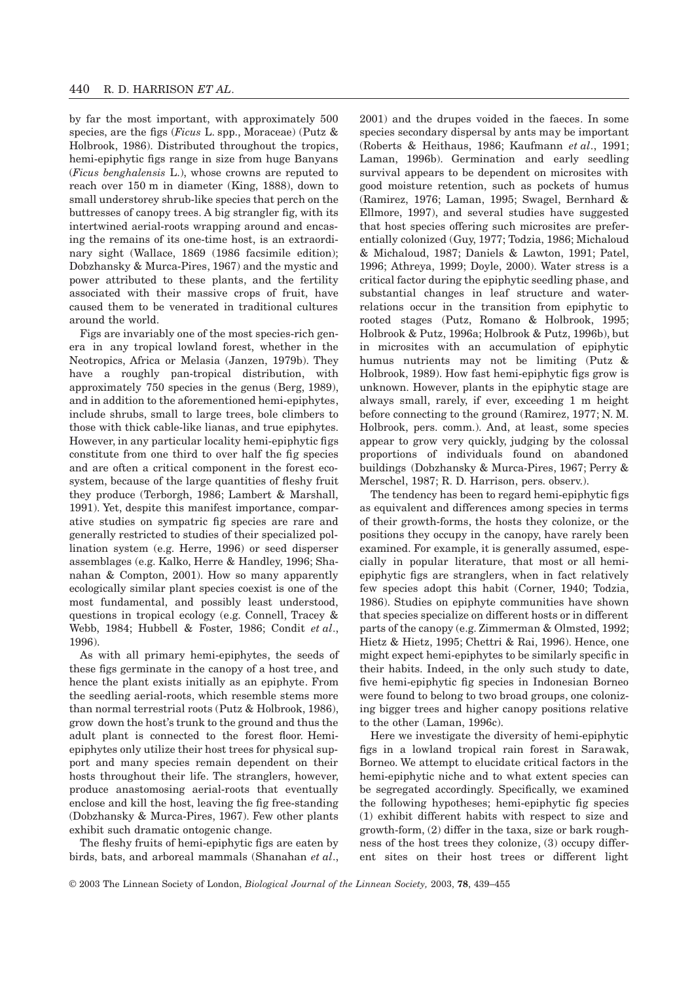by far the most important, with approximately 500 species, are the figs (*Ficus* L. spp., Moraceae) (Putz & Holbrook, 1986). Distributed throughout the tropics, hemi-epiphytic figs range in size from huge Banyans (*Ficus benghalensis* L.), whose crowns are reputed to reach over 150 m in diameter (King, 1888), down to small understorey shrub-like species that perch on the buttresses of canopy trees. A big strangler fig, with its intertwined aerial-roots wrapping around and encasing the remains of its one-time host, is an extraordinary sight (Wallace, 1869 (1986 facsimile edition); Dobzhansky & Murca-Pires, 1967) and the mystic and power attributed to these plants, and the fertility associated with their massive crops of fruit, have caused them to be venerated in traditional cultures around the world.

Figs are invariably one of the most species-rich genera in any tropical lowland forest, whether in the Neotropics, Africa or Melasia (Janzen, 1979b). They have a roughly pan-tropical distribution, with approximately 750 species in the genus (Berg, 1989), and in addition to the aforementioned hemi-epiphytes, include shrubs, small to large trees, bole climbers to those with thick cable-like lianas, and true epiphytes. However, in any particular locality hemi-epiphytic figs constitute from one third to over half the fig species and are often a critical component in the forest ecosystem, because of the large quantities of fleshy fruit they produce (Terborgh, 1986; Lambert & Marshall, 1991). Yet, despite this manifest importance, comparative studies on sympatric fig species are rare and generally restricted to studies of their specialized pollination system (e.g. Herre, 1996) or seed disperser assemblages (e.g. Kalko, Herre & Handley, 1996; Shanahan & Compton, 2001). How so many apparently ecologically similar plant species coexist is one of the most fundamental, and possibly least understood, questions in tropical ecology (e.g. Connell, Tracey & Webb, 1984; Hubbell & Foster, 1986; Condit *et al*., 1996).

As with all primary hemi-epiphytes, the seeds of these figs germinate in the canopy of a host tree, and hence the plant exists initially as an epiphyte. From the seedling aerial-roots, which resemble stems more than normal terrestrial roots (Putz & Holbrook, 1986), grow down the host's trunk to the ground and thus the adult plant is connected to the forest floor. Hemiepiphytes only utilize their host trees for physical support and many species remain dependent on their hosts throughout their life. The stranglers, however, produce anastomosing aerial-roots that eventually enclose and kill the host, leaving the fig free-standing (Dobzhansky & Murca-Pires, 1967). Few other plants exhibit such dramatic ontogenic change.

The fleshy fruits of hemi-epiphytic figs are eaten by birds, bats, and arboreal mammals (Shanahan *et al*.,

2001) and the drupes voided in the faeces. In some species secondary dispersal by ants may be important (Roberts & Heithaus, 1986; Kaufmann *et al*., 1991; Laman, 1996b). Germination and early seedling survival appears to be dependent on microsites with good moisture retention, such as pockets of humus (Ramirez, 1976; Laman, 1995; Swagel, Bernhard & Ellmore, 1997), and several studies have suggested that host species offering such microsites are preferentially colonized (Guy, 1977; Todzia, 1986; Michaloud & Michaloud, 1987; Daniels & Lawton, 1991; Patel, 1996; Athreya, 1999; Doyle, 2000). Water stress is a critical factor during the epiphytic seedling phase, and substantial changes in leaf structure and waterrelations occur in the transition from epiphytic to rooted stages (Putz, Romano & Holbrook, 1995; Holbrook & Putz, 1996a; Holbrook & Putz, 1996b), but in microsites with an accumulation of epiphytic humus nutrients may not be limiting (Putz & Holbrook, 1989). How fast hemi-epiphytic figs grow is unknown. However, plants in the epiphytic stage are always small, rarely, if ever, exceeding 1 m height before connecting to the ground (Ramirez, 1977; N. M. Holbrook, pers. comm.). And, at least, some species appear to grow very quickly, judging by the colossal proportions of individuals found on abandoned buildings (Dobzhansky & Murca-Pires, 1967; Perry & Merschel, 1987; R. D. Harrison, pers. observ.).

The tendency has been to regard hemi-epiphytic figs as equivalent and differences among species in terms of their growth-forms, the hosts they colonize, or the positions they occupy in the canopy, have rarely been examined. For example, it is generally assumed, especially in popular literature, that most or all hemiepiphytic figs are stranglers, when in fact relatively few species adopt this habit (Corner, 1940; Todzia, 1986). Studies on epiphyte communities have shown that species specialize on different hosts or in different parts of the canopy (e.g. Zimmerman & Olmsted, 1992; Hietz & Hietz, 1995; Chettri & Rai, 1996). Hence, one might expect hemi-epiphytes to be similarly specific in their habits. Indeed, in the only such study to date, five hemi-epiphytic fig species in Indonesian Borneo were found to belong to two broad groups, one colonizing bigger trees and higher canopy positions relative to the other (Laman, 1996c).

Here we investigate the diversity of hemi-epiphytic figs in a lowland tropical rain forest in Sarawak, Borneo. We attempt to elucidate critical factors in the hemi-epiphytic niche and to what extent species can be segregated accordingly. Specifically, we examined the following hypotheses; hemi-epiphytic fig species (1) exhibit different habits with respect to size and growth-form, (2) differ in the taxa, size or bark roughness of the host trees they colonize, (3) occupy different sites on their host trees or different light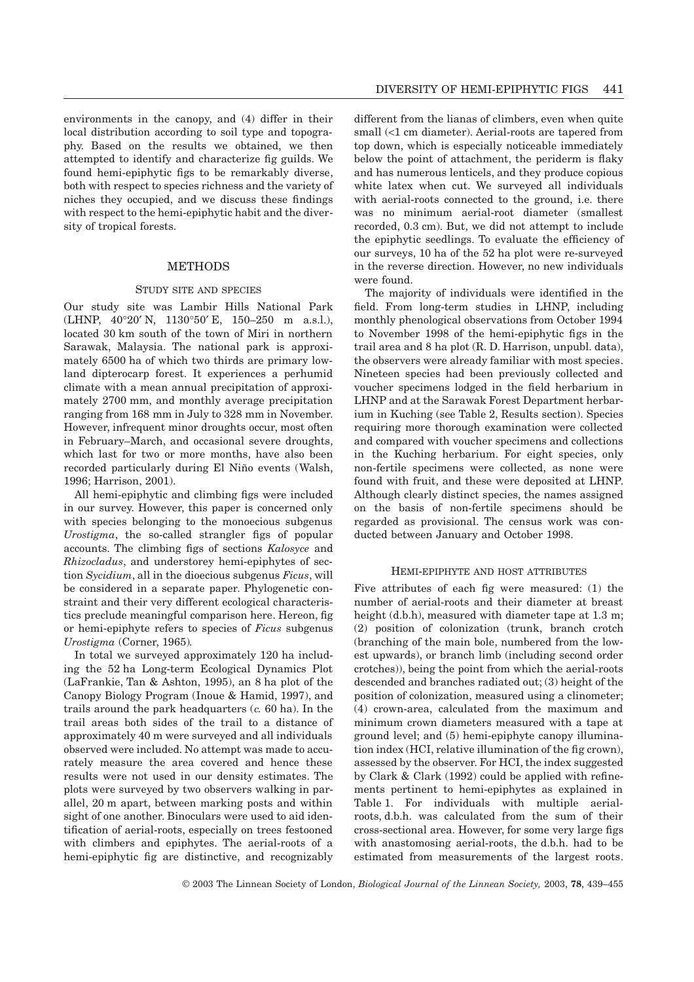environments in the canopy, and (4) differ in their local distribution according to soil type and topography. Based on the results we obtained, we then attempted to identify and characterize fig guilds. We found hemi-epiphytic figs to be remarkably diverse, both with respect to species richness and the variety of niches they occupied, and we discuss these findings with respect to the hemi-epiphytic habit and the diversity of tropical forests.

#### METHODS

#### STUDY SITE AND SPECIES

Our study site was Lambir Hills National Park (LHNP, 40∞20¢ N, 1130∞50¢ E, 150–250 m a.s.l.), located 30 km south of the town of Miri in northern Sarawak, Malaysia. The national park is approximately 6500 ha of which two thirds are primary lowland dipterocarp forest. It experiences a perhumid climate with a mean annual precipitation of approximately 2700 mm, and monthly average precipitation ranging from 168 mm in July to 328 mm in November. However, infrequent minor droughts occur, most often in February–March, and occasional severe droughts, which last for two or more months, have also been recorded particularly during El Niño events (Walsh, 1996; Harrison, 2001).

All hemi-epiphytic and climbing figs were included in our survey. However, this paper is concerned only with species belonging to the monoecious subgenus *Urostigma*, the so-called strangler figs of popular accounts. The climbing figs of sections *Kalosyce* and *Rhizocladus*, and understorey hemi-epiphytes of section *Sycidium*, all in the dioecious subgenus *Ficus*, will be considered in a separate paper. Phylogenetic constraint and their very different ecological characteristics preclude meaningful comparison here. Hereon, fig or hemi-epiphyte refers to species of *Ficus* subgenus *Urostigma* (Corner, 1965)*.*

In total we surveyed approximately 120 ha including the 52 ha Long-term Ecological Dynamics Plot (LaFrankie, Tan & Ashton, 1995), an 8 ha plot of the Canopy Biology Program (Inoue & Hamid, 1997), and trails around the park headquarters (*c.* 60 ha). In the trail areas both sides of the trail to a distance of approximately 40 m were surveyed and all individuals observed were included. No attempt was made to accurately measure the area covered and hence these results were not used in our density estimates. The plots were surveyed by two observers walking in parallel, 20 m apart, between marking posts and within sight of one another. Binoculars were used to aid identification of aerial-roots, especially on trees festooned with climbers and epiphytes. The aerial-roots of a hemi-epiphytic fig are distinctive, and recognizably different from the lianas of climbers, even when quite small (<1 cm diameter). Aerial-roots are tapered from top down, which is especially noticeable immediately below the point of attachment, the periderm is flaky and has numerous lenticels, and they produce copious white latex when cut. We surveyed all individuals with aerial-roots connected to the ground, i.e. there was no minimum aerial-root diameter (smallest recorded, 0.3 cm). But, we did not attempt to include the epiphytic seedlings. To evaluate the efficiency of our surveys, 10 ha of the 52 ha plot were re-surveyed in the reverse direction. However, no new individuals were found.

The majority of individuals were identified in the field. From long-term studies in LHNP, including monthly phenological observations from October 1994 to November 1998 of the hemi-epiphytic figs in the trail area and 8 ha plot (R. D. Harrison, unpubl. data), the observers were already familiar with most species. Nineteen species had been previously collected and voucher specimens lodged in the field herbarium in LHNP and at the Sarawak Forest Department herbarium in Kuching (see Table 2, Results section). Species requiring more thorough examination were collected and compared with voucher specimens and collections in the Kuching herbarium. For eight species, only non-fertile specimens were collected, as none were found with fruit, and these were deposited at LHNP. Although clearly distinct species, the names assigned on the basis of non-fertile specimens should be regarded as provisional. The census work was conducted between January and October 1998.

## HEMI-EPIPHYTE AND HOST ATTRIBUTES

Five attributes of each fig were measured: (1) the number of aerial-roots and their diameter at breast height (d.b.h), measured with diameter tape at 1.3 m; (2) position of colonization (trunk, branch crotch (branching of the main bole, numbered from the lowest upwards), or branch limb (including second order crotches)), being the point from which the aerial-roots descended and branches radiated out; (3) height of the position of colonization, measured using a clinometer; (4) crown-area, calculated from the maximum and minimum crown diameters measured with a tape at ground level; and (5) hemi-epiphyte canopy illumination index (HCI, relative illumination of the fig crown), assessed by the observer. For HCI, the index suggested by Clark & Clark (1992) could be applied with refinements pertinent to hemi-epiphytes as explained in Table 1. For individuals with multiple aerialroots, d.b.h. was calculated from the sum of their cross-sectional area. However, for some very large figs with anastomosing aerial-roots, the d.b.h. had to be estimated from measurements of the largest roots.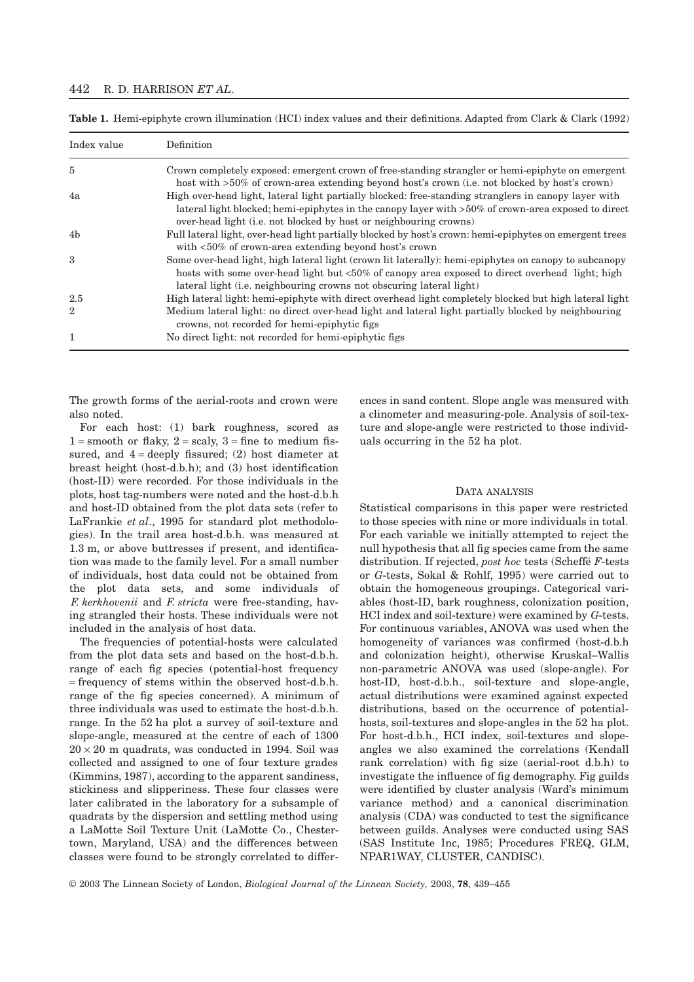| Index value    | Definition                                                                                                                                                                                                                                                                       |
|----------------|----------------------------------------------------------------------------------------------------------------------------------------------------------------------------------------------------------------------------------------------------------------------------------|
| 5              | Crown completely exposed: emergent crown of free-standing strangler or hemi-epiphyte on emergent<br>host with >50% of crown-area extending beyond host's crown (i.e. not blocked by host's crown)                                                                                |
| 4a             | High over-head light, lateral light partially blocked: free-standing stranglers in canopy layer with<br>lateral light blocked; hemi-epiphytes in the canopy layer with >50% of crown-area exposed to direct<br>over-head light (i.e. not blocked by host or neighbouring crowns) |
| 4 <sub>b</sub> | Full lateral light, over-head light partially blocked by host's crown: hemi-epiphytes on emergent trees<br>with $<50\%$ of crown-area extending beyond host's crown                                                                                                              |
| 3              | Some over-head light, high lateral light (crown lit laterally): hemi-epiphytes on canopy to subcanopy<br>hosts with some over-head light but <50% of canopy area exposed to direct overhead light; high<br>lateral light (i.e. neighbouring crowns not obscuring lateral light)  |
| 2.5            | High lateral light: hemi-epiphyte with direct overhead light completely blocked but high lateral light                                                                                                                                                                           |
| $\overline{2}$ | Medium lateral light: no direct over-head light and lateral light partially blocked by neighbouring<br>crowns, not recorded for hemi-epiphytic figs.                                                                                                                             |
| $\mathbf{1}$   | No direct light: not recorded for hemi-epiphytic figs                                                                                                                                                                                                                            |

**Table 1.** Hemi-epiphyte crown illumination (HCI) index values and their definitions. Adapted from Clark & Clark (1992)

The growth forms of the aerial-roots and crown were also noted.

For each host: (1) bark roughness, scored as  $1 =$  smooth or flaky,  $2 =$  scaly,  $3 =$  fine to medium fissured, and  $4 =$  deeply fissured; (2) host diameter at breast height (host-d.b.h); and (3) host identification (host-ID) were recorded. For those individuals in the plots, host tag-numbers were noted and the host-d.b.h and host-ID obtained from the plot data sets (refer to LaFrankie *et al*., 1995 for standard plot methodologies). In the trail area host-d.b.h. was measured at 1.3 m, or above buttresses if present, and identification was made to the family level. For a small number of individuals, host data could not be obtained from the plot data sets, and some individuals of *F. kerkhovenii* and *F. stricta* were free-standing, having strangled their hosts. These individuals were not included in the analysis of host data.

The frequencies of potential-hosts were calculated from the plot data sets and based on the host-d.b.h. range of each fig species (potential-host frequency = frequency of stems within the observed host-d.b.h. range of the fig species concerned). A minimum of three individuals was used to estimate the host-d.b.h. range. In the 52 ha plot a survey of soil-texture and slope-angle, measured at the centre of each of 1300  $20 \times 20$  m quadrats, was conducted in 1994. Soil was collected and assigned to one of four texture grades (Kimmins, 1987), according to the apparent sandiness, stickiness and slipperiness. These four classes were later calibrated in the laboratory for a subsample of quadrats by the dispersion and settling method using a LaMotte Soil Texture Unit (LaMotte Co., Chestertown, Maryland, USA) and the differences between classes were found to be strongly correlated to differences in sand content. Slope angle was measured with a clinometer and measuring-pole. Analysis of soil-texture and slope-angle were restricted to those individuals occurring in the 52 ha plot.

#### DATA ANALYSIS

Statistical comparisons in this paper were restricted to those species with nine or more individuals in total. For each variable we initially attempted to reject the null hypothesis that all fig species came from the same distribution. If rejected, *post hoc* tests (Scheffé *F*-tests or *G*-tests, Sokal & Rohlf, 1995) were carried out to obtain the homogeneous groupings. Categorical variables (host-ID, bark roughness, colonization position, HCI index and soil-texture) were examined by *G*-tests. For continuous variables, ANOVA was used when the homogeneity of variances was confirmed (host-d.b.h and colonization height), otherwise Kruskal–Wallis non-parametric ANOVA was used (slope-angle). For host-ID, host-d.b.h., soil-texture and slope-angle, actual distributions were examined against expected distributions, based on the occurrence of potentialhosts, soil-textures and slope-angles in the 52 ha plot. For host-d.b.h., HCI index, soil-textures and slopeangles we also examined the correlations (Kendall rank correlation) with fig size (aerial-root d.b.h) to investigate the influence of fig demography. Fig guilds were identified by cluster analysis (Ward's minimum variance method) and a canonical discrimination analysis (CDA) was conducted to test the significance between guilds. Analyses were conducted using SAS (SAS Institute Inc, 1985; Procedures FREQ, GLM, NPAR1WAY, CLUSTER, CANDISC).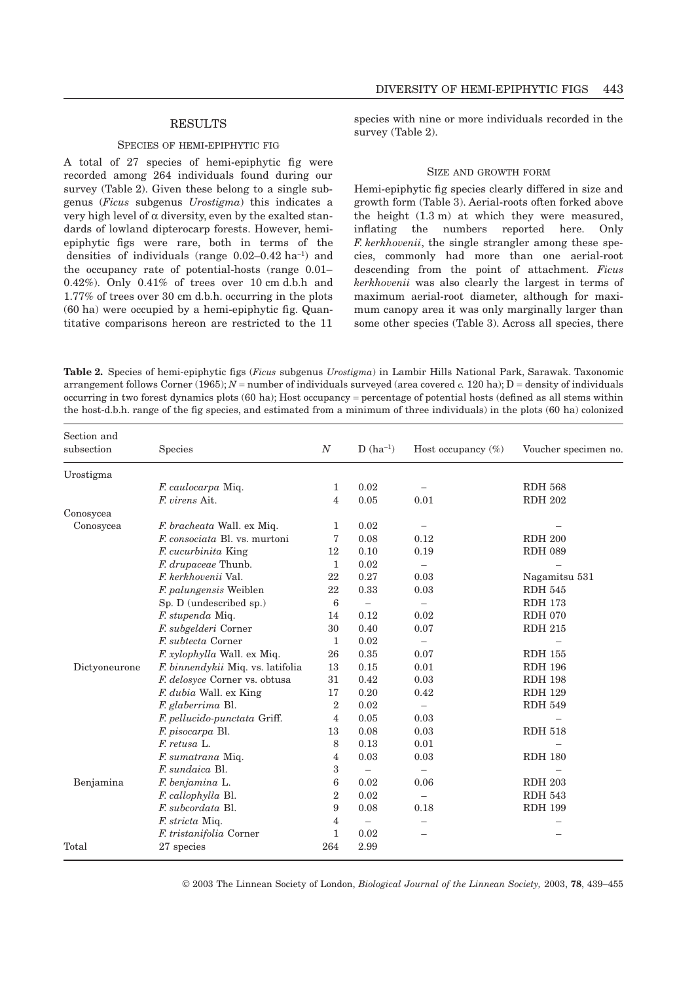# RESULTS

## SPECIES OF HEMI-EPIPHYTIC FIG

A total of 27 species of hemi-epiphytic fig were recorded among 264 individuals found during our survey (Table 2). Given these belong to a single subgenus (*Ficus* subgenus *Urostigma*) this indicates a very high level of  $\alpha$  diversity, even by the exalted standards of lowland dipterocarp forests. However, hemiepiphytic figs were rare, both in terms of the densities of individuals (range 0.02–0.42 ha-1) and the occupancy rate of potential-hosts (range 0.01– 0.42%). Only 0.41% of trees over 10 cm d.b.h and 1.77% of trees over 30 cm d.b.h. occurring in the plots (60 ha) were occupied by a hemi-epiphytic fig. Quantitative comparisons hereon are restricted to the 11 species with nine or more individuals recorded in the survey (Table 2).

## SIZE AND GROWTH FORM

Hemi-epiphytic fig species clearly differed in size and growth form (Table 3). Aerial-roots often forked above the height (1.3 m) at which they were measured, inflating the numbers reported here. Only *F. kerkhovenii*, the single strangler among these species, commonly had more than one aerial-root descending from the point of attachment. *Ficus kerkhovenii* was also clearly the largest in terms of maximum aerial-root diameter, although for maximum canopy area it was only marginally larger than some other species (Table 3). Across all species, there

**Table 2.** Species of hemi-epiphytic figs (*Ficus* subgenus *Urostigma*) in Lambir Hills National Park, Sarawak. Taxonomic arrangement follows Corner (1965); *N* = number of individuals surveyed (area covered *c.* 120 ha); D = density of individuals occurring in two forest dynamics plots (60 ha); Host occupancy = percentage of potential hosts (defined as all stems within the host-d.b.h. range of the fig species, and estimated from a minimum of three individuals) in the plots (60 ha) colonized

| Section and<br>subsection | Species                              | N                | $D(ha^{-1})$             | Host occupancy (%)       | Voucher specimen no. |
|---------------------------|--------------------------------------|------------------|--------------------------|--------------------------|----------------------|
| Urostigma                 |                                      |                  |                          |                          |                      |
|                           | F. caulocarpa Miq.                   | 1                | $\rm 0.02$               |                          | <b>RDH 568</b>       |
|                           | F. virens Ait.                       | 4                | 0.05                     | 0.01                     | <b>RDH 202</b>       |
| Conosycea                 |                                      |                  |                          |                          |                      |
| Conosycea                 | <i>F. bracheata</i> Wall. ex Miq.    | 1                | 0.02                     |                          |                      |
|                           | <i>F. consociata</i> Bl. vs. murtoni | 7                | 0.08                     | 0.12                     | <b>RDH 200</b>       |
|                           | F. cucurbinita King                  | 12               | 0.10                     | 0.19                     | <b>RDH 089</b>       |
|                           | F. drupaceae Thunb.                  | $\mathbf{1}$     | 0.02                     |                          |                      |
|                           | F. kerkhovenii Val.                  | 22               | 0.27                     | 0.03                     | Nagamitsu 531        |
|                           | F. palungensis Weiblen               | 22               | 0.33                     | 0.03                     | <b>RDH 545</b>       |
|                           | Sp. D (undescribed sp.)              | 6                | $\qquad \qquad -$        |                          | <b>RDH 173</b>       |
|                           | F. stupenda Miq.                     | 14               | 0.12                     | 0.02                     | <b>RDH 070</b>       |
|                           | F. subgelderi Corner                 | 30               | 0.40                     | 0.07                     | <b>RDH 215</b>       |
|                           | F. subtecta Corner                   | 1                | 0.02                     |                          |                      |
|                           | F. xylophylla Wall. ex Miq.          | 26               | 0.35                     | 0.07                     | <b>RDH 155</b>       |
| Dictyoneurone             | F. binnendykii Miq. vs. latifolia    | 13               | 0.15                     | 0.01                     | <b>RDH 196</b>       |
|                           | F. delosyce Corner vs. obtusa        | 31               | 0.42                     | 0.03                     | <b>RDH 198</b>       |
|                           | <i>F. dubia</i> Wall. ex King        | 17               | 0.20                     | 0.42                     | <b>RDH 129</b>       |
|                           | F. glaberrima Bl.                    | $\boldsymbol{2}$ | 0.02                     | $\overline{\phantom{0}}$ | <b>RDH 549</b>       |
|                           | F. pellucido-punctata Griff.         | $\overline{4}$   | 0.05                     | 0.03                     |                      |
|                           | F. pisocarpa Bl.                     | 13               | 0.08                     | 0.03                     | <b>RDH 518</b>       |
|                           | $F.$ retusa L.                       | 8                | 0.13                     | 0.01                     |                      |
|                           | F. sumatrana Miq.                    | 4                | 0.03                     | 0.03                     | <b>RDH 180</b>       |
|                           | F. sundaica Bl.                      | 3                | $\equiv$                 | $\overline{\phantom{0}}$ |                      |
| Benjamina                 | F. benjamina L.                      | 6                | 0.02                     | 0.06                     | <b>RDH 203</b>       |
|                           | F. callophylla Bl.                   | $\boldsymbol{2}$ | 0.02                     |                          | <b>RDH 543</b>       |
|                           | F. subcordata Bl.                    | 9                | 0.08                     | 0.18                     | <b>RDH 199</b>       |
|                           | F. stricta Miq.                      | 4                | $\overline{\phantom{0}}$ |                          |                      |
|                           | F. tristanifolia Corner              | $\mathbf{1}$     | 0.02                     |                          |                      |
| Total                     | 27 species                           | 264              | 2.99                     |                          |                      |
|                           |                                      |                  |                          |                          |                      |

© 2003 The Linnean Society of London, *Biological Journal of the Linnean Society,* 2003, **78**, 439–455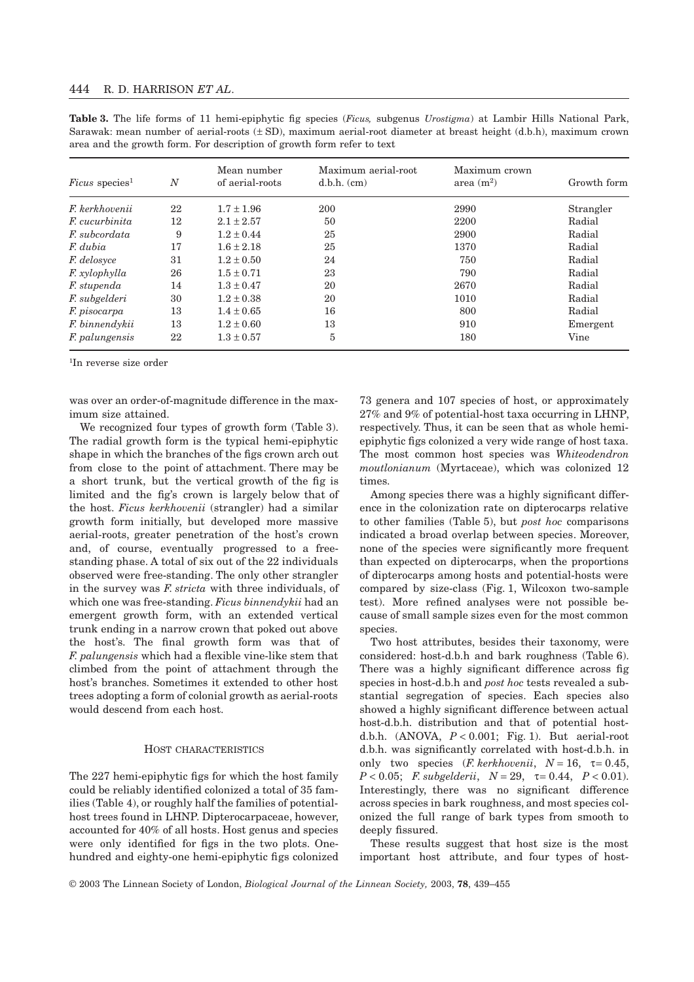| <i>Ficus</i> species <sup>1</sup> | $\boldsymbol{N}$ | Mean number<br>of aerial-roots | Maximum aerial-root<br>$d.b.h.$ $(cm)$ | Maximum crown<br>area $(m^2)$ | Growth form |
|-----------------------------------|------------------|--------------------------------|----------------------------------------|-------------------------------|-------------|
| F. kerkhovenii                    | 22               | $1.7 \pm 1.96$                 | 200                                    | 2990                          | Strangler   |
| <i>F. cucurbinita</i>             | 12               | $2.1 \pm 2.57$                 | 50                                     | 2200                          | Radial      |
| F. subcordata                     | 9                | $1.2 \pm 0.44$                 | 25                                     | 2900                          | Radial      |
| F. dubia                          | 17               | $1.6 \pm 2.18$                 | 25                                     | 1370                          | Radial      |
| <i>F. delosyce</i>                | 31               | $1.2 \pm 0.50$                 | 24                                     | 750                           | Radial      |
| F. xylophylla                     | 26               | $1.5 \pm 0.71$                 | 23                                     | 790                           | Radial      |
| F. stupenda                       | 14               | $1.3 \pm 0.47$                 | 20                                     | 2670                          | Radial      |
| F. subgelderi                     | 30               | $1.2 \pm 0.38$                 | 20                                     | 1010                          | Radial      |
| F. pisocarpa                      | 13               | $1.4 \pm 0.65$                 | 16                                     | 800                           | Radial      |
| F. binnendykii                    | 13               | $1.2 \pm 0.60$                 | 13                                     | 910                           | Emergent    |
| F. palungensis                    | 22               | $1.3 \pm 0.57$                 | 5                                      | 180                           | Vine        |

**Table 3.** The life forms of 11 hemi-epiphytic fig species (*Ficus,* subgenus *Urostigma*) at Lambir Hills National Park, Sarawak: mean number of aerial-roots (± SD), maximum aerial-root diameter at breast height (d.b.h), maximum crown area and the growth form. For description of growth form refer to text

1In reverse size order

was over an order-of-magnitude difference in the maximum size attained.

We recognized four types of growth form (Table 3). The radial growth form is the typical hemi-epiphytic shape in which the branches of the figs crown arch out from close to the point of attachment. There may be a short trunk, but the vertical growth of the fig is limited and the fig's crown is largely below that of the host. *Ficus kerkhovenii* (strangler) had a similar growth form initially, but developed more massive aerial-roots, greater penetration of the host's crown and, of course, eventually progressed to a freestanding phase. A total of six out of the 22 individuals observed were free-standing. The only other strangler in the survey was *F. stricta* with three individuals, of which one was free-standing. *Ficus binnendykii* had an emergent growth form, with an extended vertical trunk ending in a narrow crown that poked out above the host's. The final growth form was that of *F. palungensis* which had a flexible vine-like stem that climbed from the point of attachment through the host's branches. Sometimes it extended to other host trees adopting a form of colonial growth as aerial-roots would descend from each host.

#### HOST CHARACTERISTICS

The 227 hemi-epiphytic figs for which the host family could be reliably identified colonized a total of 35 families (Table 4), or roughly half the families of potentialhost trees found in LHNP. Dipterocarpaceae, however, accounted for 40% of all hosts. Host genus and species were only identified for figs in the two plots. Onehundred and eighty-one hemi-epiphytic figs colonized 73 genera and 107 species of host, or approximately 27% and 9% of potential-host taxa occurring in LHNP, respectively. Thus, it can be seen that as whole hemiepiphytic figs colonized a very wide range of host taxa. The most common host species was *Whiteodendron moutlonianum* (Myrtaceae), which was colonized 12 times.

Among species there was a highly significant difference in the colonization rate on dipterocarps relative to other families (Table 5), but *post hoc* comparisons indicated a broad overlap between species. Moreover, none of the species were significantly more frequent than expected on dipterocarps, when the proportions of dipterocarps among hosts and potential-hosts were compared by size-class (Fig. 1, Wilcoxon two-sample test). More refined analyses were not possible because of small sample sizes even for the most common species.

Two host attributes, besides their taxonomy, were considered: host-d.b.h and bark roughness (Table 6). There was a highly significant difference across fig species in host-d.b.h and *post hoc* tests revealed a substantial segregation of species. Each species also showed a highly significant difference between actual host-d.b.h. distribution and that of potential hostd.b.h. (ANOVA, *P* < 0.001; Fig. 1). But aerial-root d.b.h. was significantly correlated with host-d.b.h. in only two species  $(F. \, \text{kerkhovenii}, \, N = 16, \, \tau = 0.45,$  $P < 0.05$ ; *F. subgelderii*,  $N = 29$ ,  $\tau = 0.44$ ,  $P < 0.01$ ). Interestingly, there was no significant difference across species in bark roughness, and most species colonized the full range of bark types from smooth to deeply fissured.

These results suggest that host size is the most important host attribute, and four types of host-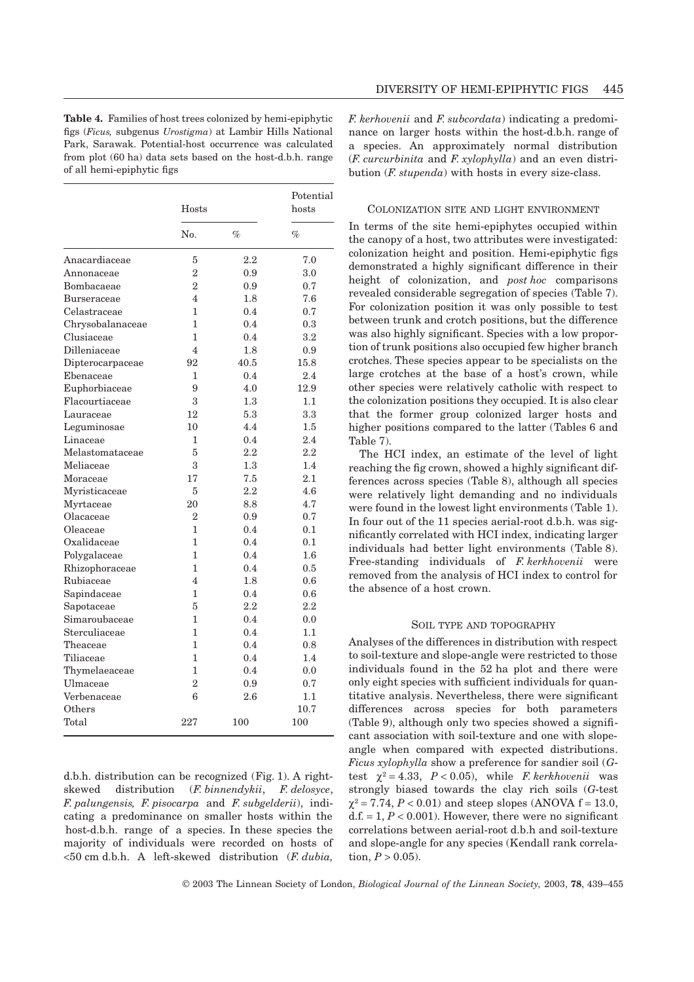**Table 4.** Families of host trees colonized by hemi-epiphytic figs (*Ficus,* subgenus *Urostigma*) at Lambir Hills National Park, Sarawak. Potential-host occurrence was calculated from plot (60 ha) data sets based on the host-d.b.h. range of all hemi-epiphytic figs

|                  | Hosts                    |         | Potential<br>hosts |
|------------------|--------------------------|---------|--------------------|
|                  | N <sub>0</sub>           | $\%$    | $\%$               |
| Anacardiaceae    | 5                        | $2.2\,$ | 7.0                |
| Annonaceae       | $\overline{2}$           | 0.9     | 3.0                |
| Bombacaeae       | $\overline{2}$           | 0.9     | 0.7                |
| Burseraceae      | $\overline{\mathcal{L}}$ | 1.8     | 7.6                |
| Celastraceae     | 1                        | 0.4     | 0.7                |
| Chrysobalanaceae | 1                        | 0.4     | 0.3                |
| Clusiaceae       | 1                        | 0.4     | 3.2                |
| Dilleniaceae     | 4                        | 1.8     | 0.9                |
| Dipterocarpaceae | 92                       | 40.5    | 15.8               |
| Ebenaceae        | 1                        | 0.4     | 2.4                |
| Euphorbiaceae    | 9                        | 4.0     | 12.9               |
| Flacourtiaceae   | 3                        | 1.3     | 1.1                |
| Lauraceae        | 12                       | 5.3     | 3.3                |
| Leguminosae      | 10                       | 4.4     | 1.5                |
| Linaceae         | 1                        | 0.4     | 2.4                |
| Melastomataceae  | 5                        | 2.2     | 2.2                |
| Meliaceae        | 3                        | 1.3     | 1.4                |
| Moraceae         | 17                       | 7.5     | 2.1                |
| Myristicaceae    | 5                        | 2.2     | 4.6                |
| Myrtaceae        | 20                       | 8.8     | 4.7                |
| Olacaceae        | $\overline{2}$           | 0.9     | 0.7                |
| Oleaceae         | 1                        | 0.4     | 0.1                |
| Oxalidaceae      | 1                        | 0.4     | 0.1                |
| Polygalaceae     | 1                        | 0.4     | 1.6                |
| Rhizophoraceae   | 1                        | 0.4     | 0.5                |
| Rubiaceae        | $\overline{\mathcal{L}}$ | 1.8     | 0.6                |
| Sapindaceae      | 1                        | 0.4     | 0.6                |
| Sapotaceae       | 5                        | 2.2     | 2.2                |
| Simaroubaceae    | 1                        | 0.4     | 0.0                |
| Sterculiaceae    | 1                        | 0.4     | 1.1                |
| Theaceae         | 1                        | 0.4     | 0.8                |
| Tiliaceae        | 1                        | 0.4     | 1.4                |
| Thymelaeaceae    | 1                        | 0.4     | 0.0                |
| Ulmaceae         | $\overline{2}$           | 0.9     | 0.7                |
| Verbenaceae      | 6                        | 2.6     | 1.1                |
| Others           |                          |         | 10.7               |
| Total            | 227                      | 100     | 100                |

d.b.h. distribution can be recognized (Fig. 1). A rightskewed distribution (*F. binnendykii*, *F. delosyce*, *F. palungensis, F. pisocarpa* and *F. subgelderii*), indicating a predominance on smaller hosts within the host-d.b.h. range of a species. In these species the majority of individuals were recorded on hosts of <50 cm d.b.h. A left-skewed distribution (*F. dubia,* *F. kerhovenii* and *F. subcordata*) indicating a predominance on larger hosts within the host-d.b.h. range of a species. An approximately normal distribution (*F. curcurbinita* and *F. xylophylla*) and an even distribution (*F. stupenda*) with hosts in every size-class.

#### COLONIZATION SITE AND LIGHT ENVIRONMENT

In terms of the site hemi-epiphytes occupied within the canopy of a host, two attributes were investigated: colonization height and position. Hemi-epiphytic figs demonstrated a highly significant difference in their height of colonization, and *post hoc* comparisons revealed considerable segregation of species (Table 7). For colonization position it was only possible to test between trunk and crotch positions, but the difference was also highly significant. Species with a low proportion of trunk positions also occupied few higher branch crotches. These species appear to be specialists on the large crotches at the base of a host's crown, while other species were relatively catholic with respect to the colonization positions they occupied. It is also clear that the former group colonized larger hosts and higher positions compared to the latter (Tables 6 and Table 7).

The HCI index, an estimate of the level of light reaching the fig crown, showed a highly significant differences across species (Table 8), although all species were relatively light demanding and no individuals were found in the lowest light environments (Table 1). In four out of the 11 species aerial-root d.b.h. was significantly correlated with HCI index, indicating larger individuals had better light environments (Table 8). Free-standing individuals of *F. kerkhovenii* were removed from the analysis of HCI index to control for the absence of a host crown.

# SOIL TYPE AND TOPOGRAPHY

Analyses of the differences in distribution with respect to soil-texture and slope-angle were restricted to those individuals found in the 52 ha plot and there were only eight species with sufficient individuals for quantitative analysis. Nevertheless, there were significant differences across species for both parameters (Table 9), although only two species showed a significant association with soil-texture and one with slopeangle when compared with expected distributions. *Ficus xylophylla* show a preference for sandier soil (*G*test  $\chi^2 = 4.33$ ,  $P < 0.05$ ), while *F. kerkhovenii* was strongly biased towards the clay rich soils (*G*-test  $\chi^2$  = 7.74, *P* < 0.01) and steep slopes (ANOVA f = 13.0, d.f.  $= 1, P < 0.001$ ). However, there were no significant correlations between aerial-root d.b.h and soil-texture and slope-angle for any species (Kendall rank correlation,  $P > 0.05$ ).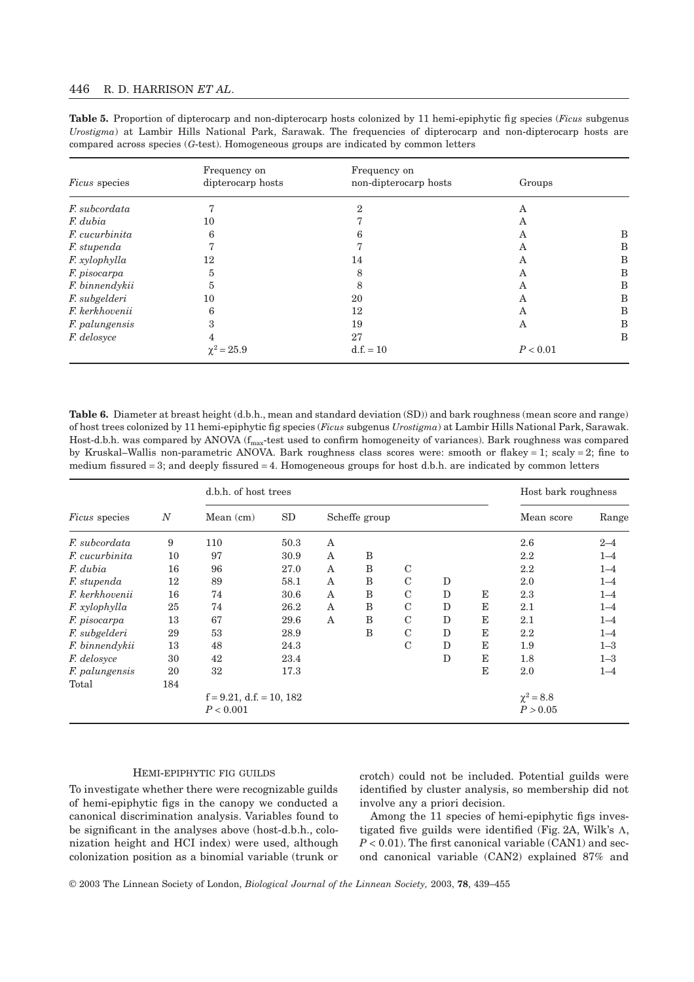| <i>Ficus</i> species | Frequency on<br>dipterocarp hosts | Frequency on<br>non-dipterocarp hosts | Groups   |   |
|----------------------|-----------------------------------|---------------------------------------|----------|---|
| F. subcordata        |                                   | $\overline{2}$                        | Α        |   |
| F. dubia             | 10                                |                                       | A        |   |
| F. cucurbinita       | 6                                 | 6                                     | A        | B |
| F. stupenda          |                                   |                                       | Α        | B |
| F. xylophylla        | 12                                | 14                                    | A        | в |
| F. pisocarpa         | 5                                 | 8                                     | Α        | B |
| F. binnendykii       | 5                                 | 8                                     | A        | В |
| F. subgelderi        | 10                                | 20                                    | A        | в |
| F. kerkhovenii       | 6                                 | 12                                    | A        | в |
| F. palungensis       | 3                                 | 19                                    | A        | B |
| F. delosyce          | 4                                 | 27                                    |          | B |
|                      | $\chi^2 = 25.9$                   | $d.f. = 10$                           | P < 0.01 |   |

**Table 5.** Proportion of dipterocarp and non-dipterocarp hosts colonized by 11 hemi-epiphytic fig species (*Ficus* subgenus *Urostigma*) at Lambir Hills National Park, Sarawak. The frequencies of dipterocarp and non-dipterocarp hosts are compared across species (*G*-test). Homogeneous groups are indicated by common letters

**Table 6.** Diameter at breast height (d.b.h., mean and standard deviation (SD)) and bark roughness (mean score and range) of host trees colonized by 11 hemi-epiphytic fig species (*Ficus* subgenus *Urostigma*) at Lambir Hills National Park, Sarawak. Host-d.b.h. was compared by ANOVA (f<sub>max</sub>-test used to confirm homogeneity of variances). Bark roughness was compared by Kruskal–Wallis non-parametric ANOVA. Bark roughness class scores were: smooth or flakey = 1; scaly = 2; fine to medium fissured  $= 3$ ; and deeply fissured  $= 4$ . Homogeneous groups for host d.b.h. are indicated by common letters

|                                       |                  | d.b.h. of host trees        |      |   |               |               |            |         | Host bark roughness |         |
|---------------------------------------|------------------|-----------------------------|------|---|---------------|---------------|------------|---------|---------------------|---------|
| <i>Ficus</i> species<br>F. subcordata | $\boldsymbol{N}$ | Mean $(cm)$                 | SD   |   | Scheffe group |               | Mean score | Range   |                     |         |
|                                       | 9                | 110                         | 50.3 | A |               |               |            |         | 2.6                 | $2 - 4$ |
| F. cucurbinita                        | 10               | 97                          | 30.9 | Α | B             |               |            |         | 2.2                 | $1 - 4$ |
| F. dubia                              | 16               | 96                          | 27.0 | Α | B             | $\mathbf C$   |            |         | 2.2                 | $1 - 4$ |
| F. stupenda                           | 12               | 89                          | 58.1 | Α | B             | $\mathcal{C}$ | D          |         | 2.0                 | $1 - 4$ |
| F. kerkhovenii                        | 16               | 74                          | 30.6 | A | B             | $\mathbf C$   | D          | Е       | 2.3                 | $1 - 4$ |
| F. xylophylla                         | 25               | 74                          | 26.2 | A | B             | $\mathcal{C}$ | D          | E       | 2.1                 | $1 - 4$ |
| F. pisocarpa                          | 13               | 67                          | 29.6 | A | B             | $\mathcal{C}$ | D          | E       | 2.1                 | $1 - 4$ |
| F. subgelderi                         | 29               | 53                          | 28.9 |   | B             | $\mathbf C$   | D          | $\bf E$ | 2.2                 | $1 - 4$ |
| F. binnendykii                        | 13               | 48                          | 24.3 |   |               | $\mathcal{C}$ | D          | E       | 1.9                 | $1 - 3$ |
| F. delosyce                           | 30               | 42                          | 23.4 |   |               |               | D          | E       | 1.8                 | $1 - 3$ |
| F. palungensis                        | 20               | 32                          | 17.3 |   |               |               |            | $\bf E$ | 2.0                 | $1 - 4$ |
| Total                                 | 184              |                             |      |   |               |               |            |         |                     |         |
|                                       |                  | $f = 9.21$ , d.f. = 10, 182 |      |   |               |               |            |         | $\chi^2 = 8.8$      |         |
|                                       |                  | P < 0.001                   |      |   |               |               |            |         | P > 0.05            |         |

## HEMI-EPIPHYTIC FIG GUILDS

To investigate whether there were recognizable guilds of hemi-epiphytic figs in the canopy we conducted a canonical discrimination analysis. Variables found to be significant in the analyses above (host-d.b.h., colonization height and HCI index) were used, although colonization position as a binomial variable (trunk or

crotch) could not be included. Potential guilds were identified by cluster analysis, so membership did not involve any a priori decision.

Among the 11 species of hemi-epiphytic figs investigated five guilds were identified (Fig. 2A, Wilk's  $\Lambda$ , *P* < 0.01). The first canonical variable (CAN1) and second canonical variable (CAN2) explained 87% and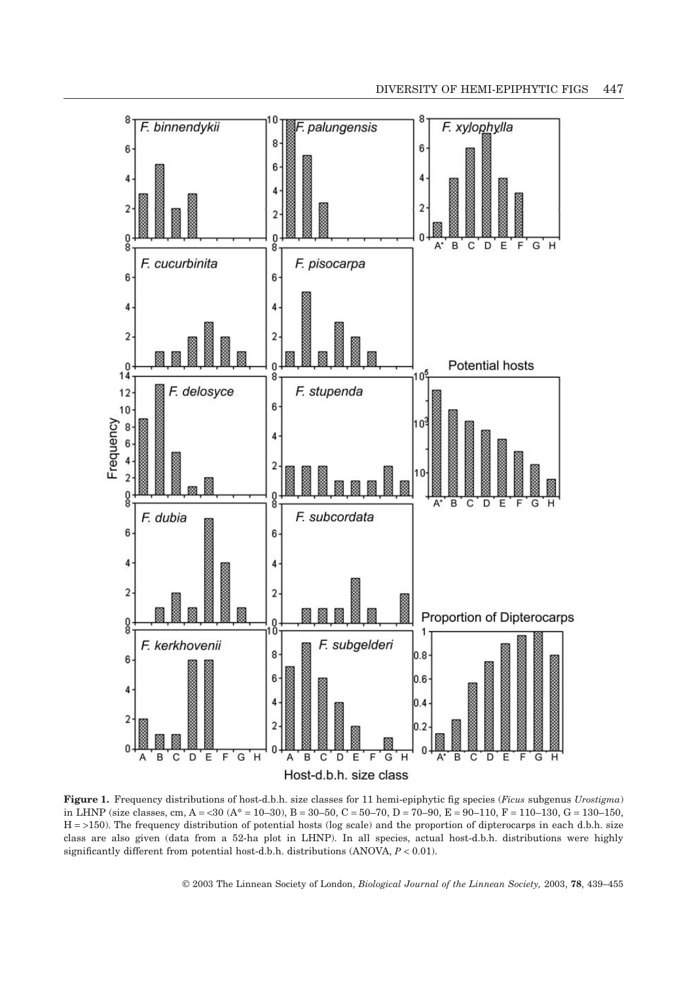

**Figure 1.** Frequency distributions of host-d.b.h. size classes for 11 hemi-epiphytic fig species (*Ficus* subgenus *Urostigma*) in LHNP (size classes, cm, A = <30 (A\* = 10–30), B = 30–50, C = 50–70, D = 70–90, E = 90–110, F = 110–130, G = 130–150, H = >150). The frequency distribution of potential hosts (log scale) and the proportion of dipterocarps in each d.b.h. size class are also given (data from a 52-ha plot in LHNP). In all species, actual host-d.b.h. distributions were highly significantly different from potential host-d.b.h. distributions (ANOVA, *P* < 0.01).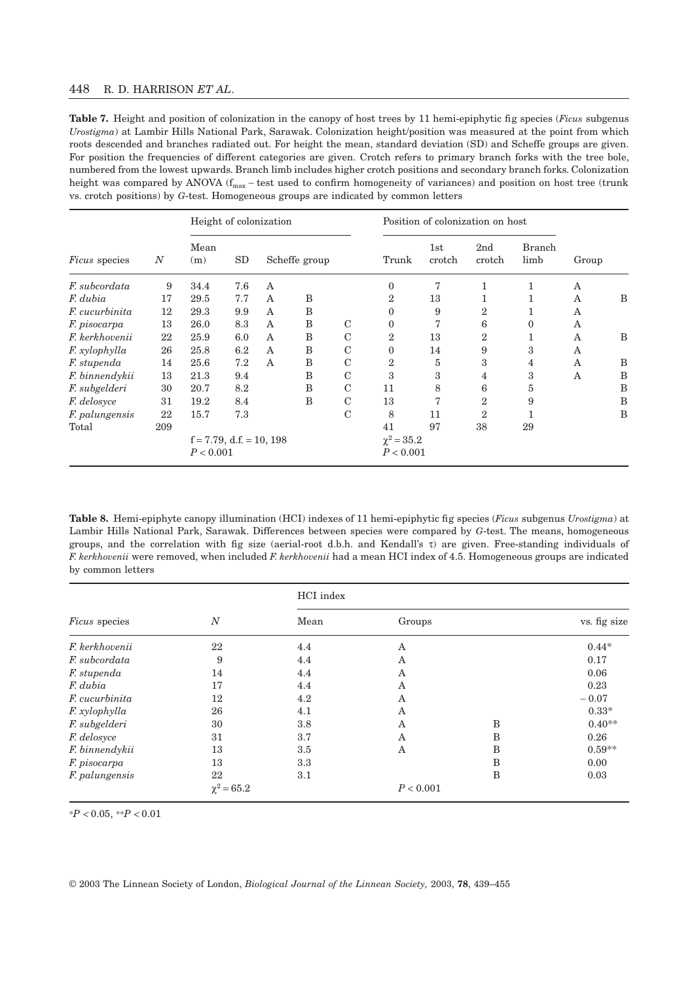**Table 7.** Height and position of colonization in the canopy of host trees by 11 hemi-epiphytic fig species (*Ficus* subgenus *Urostigma*) at Lambir Hills National Park, Sarawak. Colonization height/position was measured at the point from which roots descended and branches radiated out. For height the mean, standard deviation (SD) and Scheffe groups are given. For position the frequencies of different categories are given. Crotch refers to primary branch forks with the tree bole, numbered from the lowest upwards. Branch limb includes higher crotch positions and secondary branch forks. Colonization height was compared by ANOVA  $(f_{\text{max}} - \text{test used to confirm homogeneity of variances})$  and position on host tree (trunk vs. crotch positions) by *G*-test. Homogeneous groups are indicated by common letters

|                       |                  | Height of colonization      |     |   |               |               |                  | Position of colonization on host |                |                       |       |   |
|-----------------------|------------------|-----------------------------|-----|---|---------------|---------------|------------------|----------------------------------|----------------|-----------------------|-------|---|
| <i>Ficus</i> species  | $\boldsymbol{N}$ | Mean<br>(m)                 | SD  |   | Scheffe group |               | Trunk            | 1st<br>crotch                    | 2nd<br>crotch  | <b>Branch</b><br>limb | Group |   |
| F. subcordata         | 9                | 34.4                        | 7.6 | A |               |               | $\boldsymbol{0}$ | 7                                | 1              | 1                     | Α     |   |
| F. dubia              | 17               | 29.5                        | 7.7 | A | B             |               | 2                | 13                               |                |                       | A     | B |
| <i>F.</i> cucurbinita | 12               | 29.3                        | 9.9 | A | B             |               | 0                | 9                                | $\overline{2}$ |                       | A     |   |
| F. pisocarpa          | 13               | 26.0                        | 8.3 | A | B             | $\mathcal{C}$ | $\Omega$         | 7                                | 6              | $\theta$              | Α     |   |
| F. kerkhovenii        | 22               | 25.9                        | 6.0 | A | B             | C             | $\overline{2}$   | 13                               | $\overline{2}$ |                       | A     | B |
| F. xylophylla         | 26               | 25.8                        | 6.2 | A | B             | C             | $\theta$         | 14                               | 9              | 3                     | A     |   |
| F. stupenda           | 14               | 25.6                        | 7.2 | A | B             | C             | $\overline{2}$   | 5                                | 3              | 4                     | A     | B |
| F. binnendykii        | 13               | 21.3                        | 9.4 |   | B             | C             | 3                | 3                                | 4              | 3                     | A     | B |
| F. subgelderi         | 30               | 20.7                        | 8.2 |   | B             | $\mathcal{C}$ | 11               | 8                                | 6              | 5                     |       | B |
| F. delosyce           | 31               | 19.2                        | 8.4 |   | B             | $\mathcal{C}$ | 13               | 7                                | $\overline{2}$ | 9                     |       | B |
| F. palungensis        | 22               | 15.7                        | 7.3 |   |               | $\mathcal{C}$ | 8                | 11                               | $\overline{2}$ |                       |       | B |
| Total                 | 209              |                             |     |   |               |               | 41               | 97                               | 38             | 29                    |       |   |
|                       |                  | $f = 7.79$ , d.f. = 10, 198 |     |   |               |               | $\chi^2 = 35.2$  |                                  |                |                       |       |   |
|                       |                  | P < 0.001                   |     |   |               |               | P < 0.001        |                                  |                |                       |       |   |

**Table 8.** Hemi-epiphyte canopy illumination (HCI) indexes of 11 hemi-epiphytic fig species (*Ficus* subgenus *Urostigma*) at Lambir Hills National Park, Sarawak. Differences between species were compared by *G*-test. The means, homogeneous groups, and the correlation with fig size (aerial-root d.b.h. and Kendall's  $\tau$ ) are given. Free-standing individuals of *F. kerkhovenii* were removed, when included *F. kerkhovenii* had a mean HCI index of 4.5. Homogeneous groups are indicated by common letters

|                      |                  | HCI index |           |   |              |  |
|----------------------|------------------|-----------|-----------|---|--------------|--|
| <i>Ficus</i> species | $\boldsymbol{N}$ | Mean      | Groups    |   | vs. fig size |  |
| F. kerkhovenii       | 22               | 4.4       | A         |   | $0.44*$      |  |
| <i>F.</i> subcordata | 9                | 4.4       | A         |   | 0.17         |  |
| F. stupenda          | 14               | 4.4       | A         |   | 0.06         |  |
| F. dubia             | 17               | 4.4       | A         |   | 0.23         |  |
| F. cucurbinita       | 12               | 4.2       | A         |   | $-0.07$      |  |
| F. xylophylla        | 26               | 4.1       | A         |   | $0.33*$      |  |
| F. subgelderi        | 30               | 3.8       | Α         | B | $0.40**$     |  |
| F. delosyce          | 31               | 3.7       | A         | B | 0.26         |  |
| F. binnendykii       | 13               | 3.5       | A         | B | $0.59**$     |  |
| F. pisocarpa         | 13               | 3.3       |           | B | 0.00         |  |
| F. palungensis       | 22               | 3.1       |           | B | 0.03         |  |
|                      | $\chi^2 = 65.2$  |           | P < 0.001 |   |              |  |

\**P* < 0.05, \*\**P* < 0.01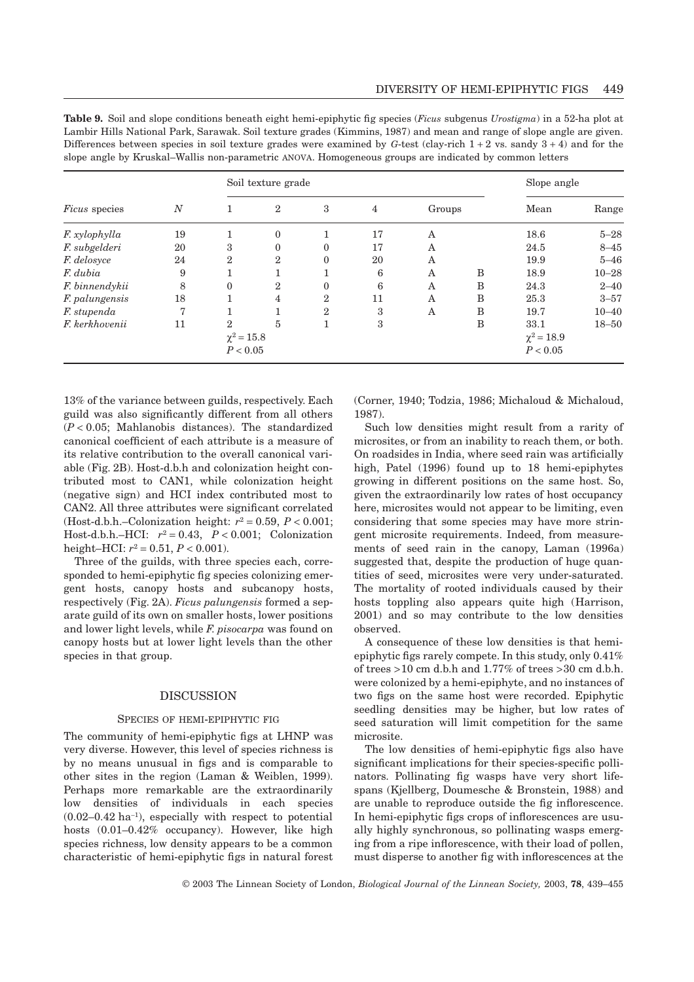| <i>Ficus</i> species<br>F. xylophylla |                |                 | Soil texture grade | Slope angle    |                |        |   |                 |           |
|---------------------------------------|----------------|-----------------|--------------------|----------------|----------------|--------|---|-----------------|-----------|
|                                       | $\overline{N}$ |                 | $\boldsymbol{2}$   | 3              | $\overline{4}$ | Groups |   | Mean            | Range     |
|                                       | 19             |                 | $\mathbf{0}$       |                | 17             | A      |   | 18.6            | $5 - 28$  |
| F. subgelderi                         | 20             | 3               | $\theta$           | 0              | 17             | А      |   | 24.5            | $8 - 45$  |
| F. delosyce                           | 24             | $\overline{2}$  | $\overline{2}$     | $\theta$       | 20             | A      |   | 19.9            | $5 - 46$  |
| F. dubia                              | 9              |                 |                    |                | 6              | A      | B | 18.9            | $10 - 28$ |
| F. binnendykii                        | 8              | $\overline{0}$  | $\overline{2}$     | 0              | 6              | A      | B | 24.3            | $2 - 40$  |
| F. palungensis                        | 18             |                 | 4                  | $\overline{2}$ | 11             | A      | B | 25.3            | $3 - 57$  |
| F. stupenda                           | $\overline{7}$ |                 |                    | $\overline{2}$ | 3              | A      | B | 19.7            | $10 - 40$ |
| F. kerkhovenii                        | 11             | $\overline{2}$  | 5                  |                | 3              |        | B | 33.1            | $18 - 50$ |
|                                       |                | $\chi^2 = 15.8$ |                    |                |                |        |   | $\chi^2 = 18.9$ |           |
|                                       |                | P < 0.05        |                    |                |                |        |   | P < 0.05        |           |

**Table 9.** Soil and slope conditions beneath eight hemi-epiphytic fig species (*Ficus* subgenus *Urostigma*) in a 52-ha plot at Lambir Hills National Park, Sarawak. Soil texture grades (Kimmins, 1987) and mean and range of slope angle are given. Differences between species in soil texture grades were examined by *G*-test (clay-rich 1 + 2 vs. sandy 3 + 4) and for the slope angle by Kruskal–Wallis non-parametric ANOVA. Homogeneous groups are indicated by common letters

13% of the variance between guilds, respectively. Each guild was also significantly different from all others (*P* < 0.05; Mahlanobis distances). The standardized canonical coefficient of each attribute is a measure of its relative contribution to the overall canonical variable (Fig. 2B). Host-d.b.h and colonization height contributed most to CAN1, while colonization height (negative sign) and HCI index contributed most to CAN2. All three attributes were significant correlated (Host-d.b.h.–Colonization height:  $r^2 = 0.59$ ,  $P < 0.001$ ; Host-d.b.h.–HCI:  $r^2 = 0.43$ ,  $P < 0.001$ ; Colonization height–HCI:  $r^2 = 0.51$ ,  $P < 0.001$ ).

Three of the guilds, with three species each, corresponded to hemi-epiphytic fig species colonizing emergent hosts, canopy hosts and subcanopy hosts, respectively (Fig. 2A). *Ficus palungensis* formed a separate guild of its own on smaller hosts, lower positions and lower light levels, while *F. pisocarpa* was found on canopy hosts but at lower light levels than the other species in that group.

## DISCUSSION

#### SPECIES OF HEMI-EPIPHYTIC FIG

The community of hemi-epiphytic figs at LHNP was very diverse. However, this level of species richness is by no means unusual in figs and is comparable to other sites in the region (Laman & Weiblen, 1999). Perhaps more remarkable are the extraordinarily low densities of individuals in each species  $(0.02-0.42 \text{ ha}^{-1})$ , especially with respect to potential hosts (0.01–0.42% occupancy). However, like high species richness, low density appears to be a common characteristic of hemi-epiphytic figs in natural forest

(Corner, 1940; Todzia, 1986; Michaloud & Michaloud, 1987).

Such low densities might result from a rarity of microsites, or from an inability to reach them, or both. On roadsides in India, where seed rain was artificially high, Patel (1996) found up to 18 hemi-epiphytes growing in different positions on the same host. So, given the extraordinarily low rates of host occupancy here, microsites would not appear to be limiting, even considering that some species may have more stringent microsite requirements. Indeed, from measurements of seed rain in the canopy, Laman (1996a) suggested that, despite the production of huge quantities of seed, microsites were very under-saturated. The mortality of rooted individuals caused by their hosts toppling also appears quite high (Harrison, 2001) and so may contribute to the low densities observed.

A consequence of these low densities is that hemiepiphytic figs rarely compete. In this study, only 0.41% of trees >10 cm d.b.h and 1.77% of trees >30 cm d.b.h. were colonized by a hemi-epiphyte, and no instances of two figs on the same host were recorded. Epiphytic seedling densities may be higher, but low rates of seed saturation will limit competition for the same microsite.

The low densities of hemi-epiphytic figs also have significant implications for their species-specific pollinators. Pollinating fig wasps have very short lifespans (Kjellberg, Doumesche & Bronstein, 1988) and are unable to reproduce outside the fig inflorescence. In hemi-epiphytic figs crops of inflorescences are usually highly synchronous, so pollinating wasps emerging from a ripe inflorescence, with their load of pollen, must disperse to another fig with inflorescences at the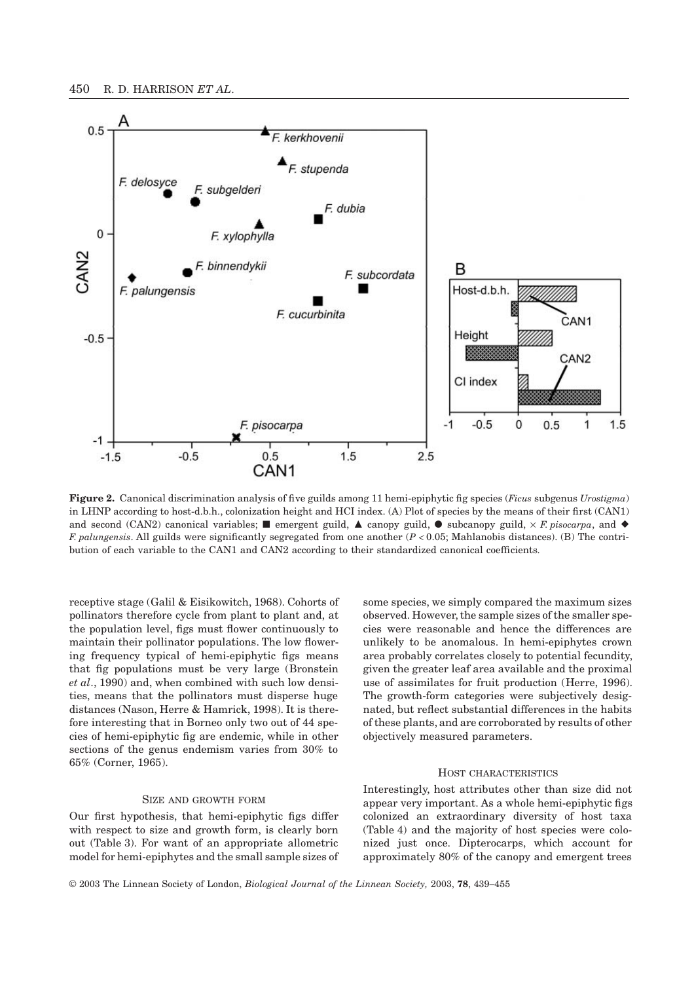

**Figure 2.** Canonical discrimination analysis of five guilds among 11 hemi-epiphytic fig species (*Ficus* subgenus *Urostigma*) in LHNP according to host-d.b.h., colonization height and HCI index. (A) Plot of species by the means of their first (CAN1) and second (CAN2) canonical variables;  $\blacksquare$  emergent guild,  $\blacktriangle$  canopy guild,  $\lozenge$  subcanopy guild,  $\times$  *F. pisocarpa*, and  $\blacklozenge$ *F. palungensis*. All guilds were significantly segregated from one another (*P* < 0.05; Mahlanobis distances). (B) The contribution of each variable to the CAN1 and CAN2 according to their standardized canonical coefficients.

receptive stage (Galil & Eisikowitch, 1968). Cohorts of pollinators therefore cycle from plant to plant and, at the population level, figs must flower continuously to maintain their pollinator populations. The low flowering frequency typical of hemi-epiphytic figs means that fig populations must be very large (Bronstein *et al*., 1990) and, when combined with such low densities, means that the pollinators must disperse huge distances (Nason, Herre & Hamrick, 1998). It is therefore interesting that in Borneo only two out of 44 species of hemi-epiphytic fig are endemic, while in other sections of the genus endemism varies from 30% to 65% (Corner, 1965).

#### SIZE AND GROWTH FORM

Our first hypothesis, that hemi-epiphytic figs differ with respect to size and growth form, is clearly born out (Table 3). For want of an appropriate allometric model for hemi-epiphytes and the small sample sizes of some species, we simply compared the maximum sizes observed. However, the sample sizes of the smaller species were reasonable and hence the differences are unlikely to be anomalous. In hemi-epiphytes crown area probably correlates closely to potential fecundity, given the greater leaf area available and the proximal use of assimilates for fruit production (Herre, 1996). The growth-form categories were subjectively designated, but reflect substantial differences in the habits of these plants, and are corroborated by results of other objectively measured parameters.

#### HOST CHARACTERISTICS

Interestingly, host attributes other than size did not appear very important. As a whole hemi-epiphytic figs colonized an extraordinary diversity of host taxa (Table 4) and the majority of host species were colonized just once. Dipterocarps, which account for approximately 80% of the canopy and emergent trees

© 2003 The Linnean Society of London, *Biological Journal of the Linnean Society,* 2003, **78**, 439–455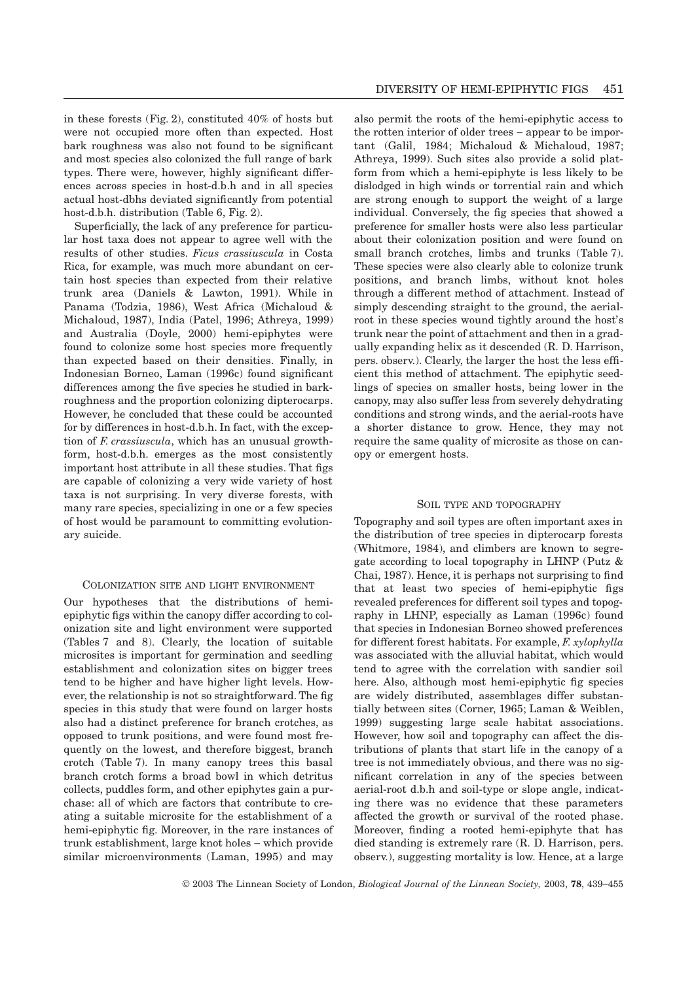in these forests (Fig. 2), constituted 40% of hosts but were not occupied more often than expected. Host bark roughness was also not found to be significant and most species also colonized the full range of bark types. There were, however, highly significant differences across species in host-d.b.h and in all species actual host-dbhs deviated significantly from potential host-d.b.h. distribution (Table 6, Fig. 2).

Superficially, the lack of any preference for particular host taxa does not appear to agree well with the results of other studies. *Ficus crassiuscula* in Costa Rica, for example, was much more abundant on certain host species than expected from their relative trunk area (Daniels & Lawton, 1991). While in Panama (Todzia, 1986), West Africa (Michaloud & Michaloud, 1987), India (Patel, 1996; Athreya, 1999) and Australia (Doyle, 2000) hemi-epiphytes were found to colonize some host species more frequently than expected based on their densities. Finally, in Indonesian Borneo, Laman (1996c) found significant differences among the five species he studied in barkroughness and the proportion colonizing dipterocarps. However, he concluded that these could be accounted for by differences in host-d.b.h. In fact, with the exception of *F. crassiuscula*, which has an unusual growthform, host-d.b.h. emerges as the most consistently important host attribute in all these studies. That figs are capable of colonizing a very wide variety of host taxa is not surprising. In very diverse forests, with many rare species, specializing in one or a few species of host would be paramount to committing evolutionary suicide.

## COLONIZATION SITE AND LIGHT ENVIRONMENT

Our hypotheses that the distributions of hemiepiphytic figs within the canopy differ according to colonization site and light environment were supported (Tables 7 and 8). Clearly, the location of suitable microsites is important for germination and seedling establishment and colonization sites on bigger trees tend to be higher and have higher light levels. However, the relationship is not so straightforward. The fig species in this study that were found on larger hosts also had a distinct preference for branch crotches, as opposed to trunk positions, and were found most frequently on the lowest, and therefore biggest, branch crotch (Table 7). In many canopy trees this basal branch crotch forms a broad bowl in which detritus collects, puddles form, and other epiphytes gain a purchase: all of which are factors that contribute to creating a suitable microsite for the establishment of a hemi-epiphytic fig. Moreover, in the rare instances of trunk establishment, large knot holes - which provide similar microenvironments (Laman, 1995) and may

also permit the roots of the hemi-epiphytic access to the rotten interior of older trees - appear to be important (Galil, 1984; Michaloud & Michaloud, 1987; Athreya, 1999). Such sites also provide a solid platform from which a hemi-epiphyte is less likely to be dislodged in high winds or torrential rain and which are strong enough to support the weight of a large individual. Conversely, the fig species that showed a preference for smaller hosts were also less particular about their colonization position and were found on small branch crotches, limbs and trunks (Table 7). These species were also clearly able to colonize trunk positions, and branch limbs, without knot holes through a different method of attachment. Instead of simply descending straight to the ground, the aerialroot in these species wound tightly around the host's trunk near the point of attachment and then in a gradually expanding helix as it descended (R. D. Harrison, pers. observ.). Clearly, the larger the host the less efficient this method of attachment. The epiphytic seedlings of species on smaller hosts, being lower in the canopy, may also suffer less from severely dehydrating conditions and strong winds, and the aerial-roots have a shorter distance to grow. Hence, they may not require the same quality of microsite as those on canopy or emergent hosts.

# SOIL TYPE AND TOPOGRAPHY

Topography and soil types are often important axes in the distribution of tree species in dipterocarp forests (Whitmore, 1984), and climbers are known to segregate according to local topography in LHNP (Putz & Chai, 1987). Hence, it is perhaps not surprising to find that at least two species of hemi-epiphytic figs revealed preferences for different soil types and topography in LHNP, especially as Laman (1996c) found that species in Indonesian Borneo showed preferences for different forest habitats. For example, *F. xylophylla* was associated with the alluvial habitat, which would tend to agree with the correlation with sandier soil here. Also, although most hemi-epiphytic fig species are widely distributed, assemblages differ substantially between sites (Corner, 1965; Laman & Weiblen, 1999) suggesting large scale habitat associations. However, how soil and topography can affect the distributions of plants that start life in the canopy of a tree is not immediately obvious, and there was no significant correlation in any of the species between aerial-root d.b.h and soil-type or slope angle, indicating there was no evidence that these parameters affected the growth or survival of the rooted phase. Moreover, finding a rooted hemi-epiphyte that has died standing is extremely rare (R. D. Harrison, pers. observ.), suggesting mortality is low. Hence, at a large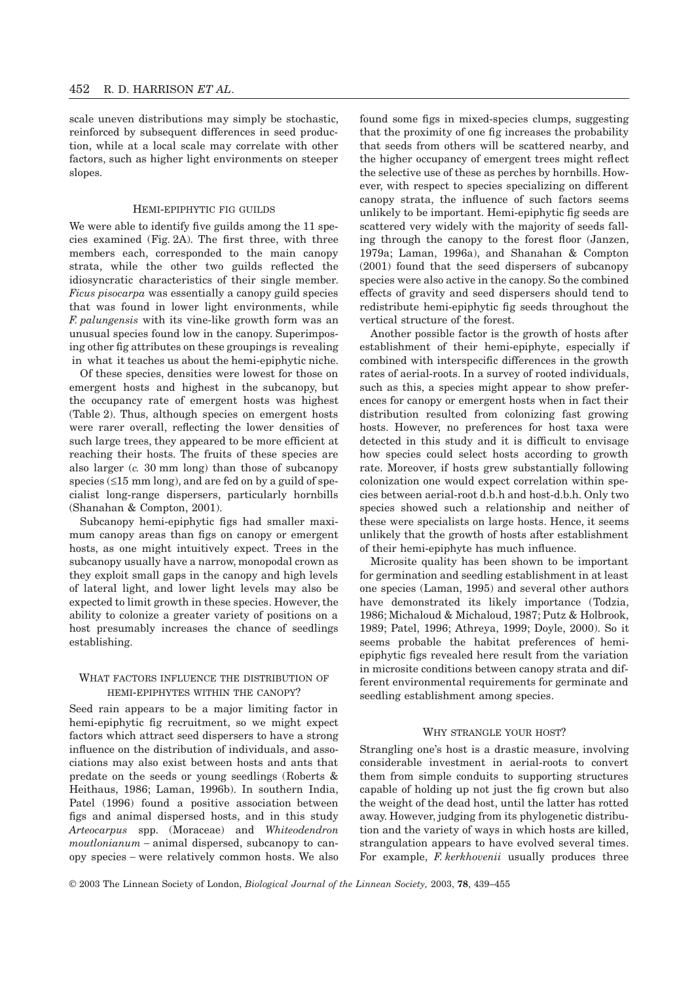scale uneven distributions may simply be stochastic, reinforced by subsequent differences in seed production, while at a local scale may correlate with other factors, such as higher light environments on steeper slopes.

## HEMI-EPIPHYTIC FIG GUILDS

We were able to identify five guilds among the 11 species examined (Fig. 2A). The first three, with three members each, corresponded to the main canopy strata, while the other two guilds reflected the idiosyncratic characteristics of their single member. *Ficus pisocarpa* was essentially a canopy guild species that was found in lower light environments, while *F. palungensis* with its vine-like growth form was an unusual species found low in the canopy. Superimposing other fig attributes on these groupings is revealing in what it teaches us about the hemi-epiphytic niche.

Of these species, densities were lowest for those on emergent hosts and highest in the subcanopy, but the occupancy rate of emergent hosts was highest (Table 2). Thus, although species on emergent hosts were rarer overall, reflecting the lower densities of such large trees, they appeared to be more efficient at reaching their hosts. The fruits of these species are also larger (*c.* 30 mm long) than those of subcanopy species  $(\leq 15$  mm long), and are fed on by a guild of specialist long-range dispersers, particularly hornbills (Shanahan & Compton, 2001).

Subcanopy hemi-epiphytic figs had smaller maximum canopy areas than figs on canopy or emergent hosts, as one might intuitively expect. Trees in the subcanopy usually have a narrow, monopodal crown as they exploit small gaps in the canopy and high levels of lateral light, and lower light levels may also be expected to limit growth in these species. However, the ability to colonize a greater variety of positions on a host presumably increases the chance of seedlings establishing.

# WHAT FACTORS INFLUENCE THE DISTRIBUTION OF HEMI-EPIPHYTES WITHIN THE CANOPY?

Seed rain appears to be a major limiting factor in hemi-epiphytic fig recruitment, so we might expect factors which attract seed dispersers to have a strong influence on the distribution of individuals, and associations may also exist between hosts and ants that predate on the seeds or young seedlings (Roberts & Heithaus, 1986; Laman, 1996b). In southern India, Patel (1996) found a positive association between figs and animal dispersed hosts, and in this study *Arteocarpus* spp. (Moraceae) and *Whiteodendron moutlonianum* - animal dispersed, subcanopy to canopy species - were relatively common hosts. We also found some figs in mixed-species clumps, suggesting that the proximity of one fig increases the probability that seeds from others will be scattered nearby, and the higher occupancy of emergent trees might reflect the selective use of these as perches by hornbills. However, with respect to species specializing on different canopy strata, the influence of such factors seems unlikely to be important. Hemi-epiphytic fig seeds are scattered very widely with the majority of seeds falling through the canopy to the forest floor (Janzen, 1979a; Laman, 1996a), and Shanahan & Compton (2001) found that the seed dispersers of subcanopy species were also active in the canopy. So the combined effects of gravity and seed dispersers should tend to redistribute hemi-epiphytic fig seeds throughout the vertical structure of the forest.

Another possible factor is the growth of hosts after establishment of their hemi-epiphyte, especially if combined with interspecific differences in the growth rates of aerial-roots. In a survey of rooted individuals, such as this, a species might appear to show preferences for canopy or emergent hosts when in fact their distribution resulted from colonizing fast growing hosts. However, no preferences for host taxa were detected in this study and it is difficult to envisage how species could select hosts according to growth rate. Moreover, if hosts grew substantially following colonization one would expect correlation within species between aerial-root d.b.h and host-d.b.h. Only two species showed such a relationship and neither of these were specialists on large hosts. Hence, it seems unlikely that the growth of hosts after establishment of their hemi-epiphyte has much influence.

Microsite quality has been shown to be important for germination and seedling establishment in at least one species (Laman, 1995) and several other authors have demonstrated its likely importance (Todzia, 1986; Michaloud & Michaloud, 1987; Putz & Holbrook, 1989; Patel, 1996; Athreya, 1999; Doyle, 2000). So it seems probable the habitat preferences of hemiepiphytic figs revealed here result from the variation in microsite conditions between canopy strata and different environmental requirements for germinate and seedling establishment among species.

## WHY STRANGLE YOUR HOST?

Strangling one's host is a drastic measure, involving considerable investment in aerial-roots to convert them from simple conduits to supporting structures capable of holding up not just the fig crown but also the weight of the dead host, until the latter has rotted away. However, judging from its phylogenetic distribution and the variety of ways in which hosts are killed, strangulation appears to have evolved several times. For example, *F. kerkhovenii* usually produces three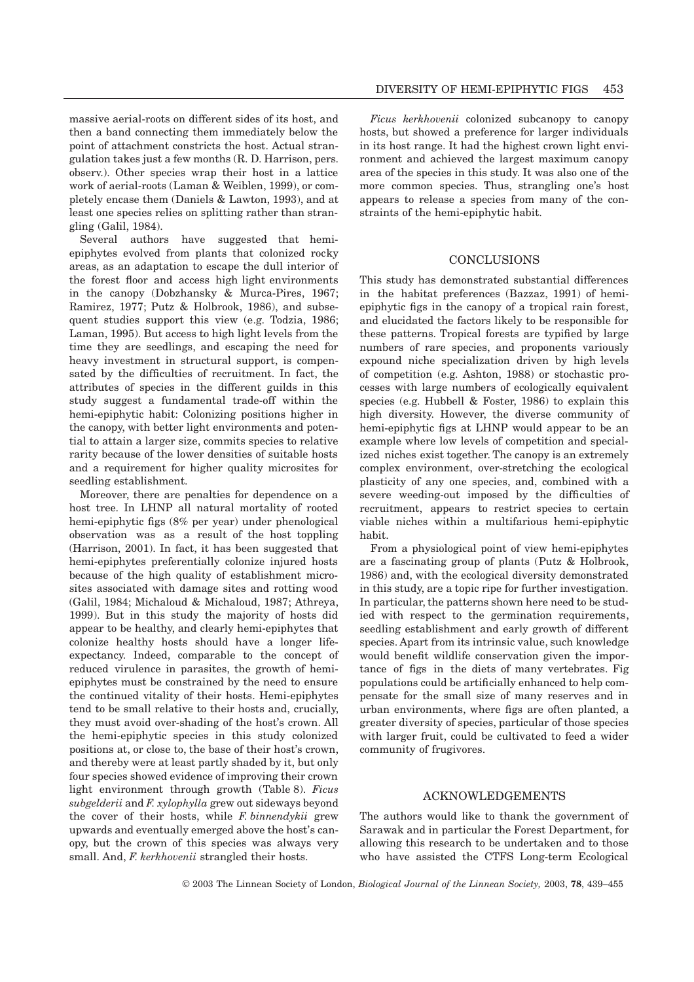massive aerial-roots on different sides of its host, and then a band connecting them immediately below the point of attachment constricts the host. Actual strangulation takes just a few months (R. D. Harrison, pers. observ.). Other species wrap their host in a lattice work of aerial-roots (Laman & Weiblen, 1999), or completely encase them (Daniels & Lawton, 1993), and at least one species relies on splitting rather than strangling (Galil, 1984).

Several authors have suggested that hemiepiphytes evolved from plants that colonized rocky areas, as an adaptation to escape the dull interior of the forest floor and access high light environments in the canopy (Dobzhansky & Murca-Pires, 1967; Ramirez, 1977; Putz & Holbrook, 1986), and subsequent studies support this view (e.g. Todzia, 1986; Laman, 1995). But access to high light levels from the time they are seedlings, and escaping the need for heavy investment in structural support, is compensated by the difficulties of recruitment. In fact, the attributes of species in the different guilds in this study suggest a fundamental trade-off within the hemi-epiphytic habit: Colonizing positions higher in the canopy, with better light environments and potential to attain a larger size, commits species to relative rarity because of the lower densities of suitable hosts and a requirement for higher quality microsites for seedling establishment.

Moreover, there are penalties for dependence on a host tree. In LHNP all natural mortality of rooted hemi-epiphytic figs (8% per year) under phenological observation was as a result of the host toppling (Harrison, 2001). In fact, it has been suggested that hemi-epiphytes preferentially colonize injured hosts because of the high quality of establishment microsites associated with damage sites and rotting wood (Galil, 1984; Michaloud & Michaloud, 1987; Athreya, 1999). But in this study the majority of hosts did appear to be healthy, and clearly hemi-epiphytes that colonize healthy hosts should have a longer lifeexpectancy. Indeed, comparable to the concept of reduced virulence in parasites, the growth of hemiepiphytes must be constrained by the need to ensure the continued vitality of their hosts. Hemi-epiphytes tend to be small relative to their hosts and, crucially, they must avoid over-shading of the host's crown. All the hemi-epiphytic species in this study colonized positions at, or close to, the base of their host's crown, and thereby were at least partly shaded by it, but only four species showed evidence of improving their crown light environment through growth (Table 8). *Ficus subgelderii* and *F. xylophylla* grew out sideways beyond the cover of their hosts, while *F. binnendykii* grew upwards and eventually emerged above the host's canopy, but the crown of this species was always very small. And, *F. kerkhovenii* strangled their hosts.

*Ficus kerkhovenii* colonized subcanopy to canopy hosts, but showed a preference for larger individuals in its host range. It had the highest crown light environment and achieved the largest maximum canopy area of the species in this study. It was also one of the more common species. Thus, strangling one's host appears to release a species from many of the constraints of the hemi-epiphytic habit.

## CONCLUSIONS

This study has demonstrated substantial differences in the habitat preferences (Bazzaz, 1991) of hemiepiphytic figs in the canopy of a tropical rain forest, and elucidated the factors likely to be responsible for these patterns. Tropical forests are typified by large numbers of rare species, and proponents variously expound niche specialization driven by high levels of competition (e.g. Ashton, 1988) or stochastic processes with large numbers of ecologically equivalent species (e.g. Hubbell & Foster, 1986) to explain this high diversity. However, the diverse community of hemi-epiphytic figs at LHNP would appear to be an example where low levels of competition and specialized niches exist together. The canopy is an extremely complex environment, over-stretching the ecological plasticity of any one species, and, combined with a severe weeding-out imposed by the difficulties of recruitment, appears to restrict species to certain viable niches within a multifarious hemi-epiphytic habit.

From a physiological point of view hemi-epiphytes are a fascinating group of plants (Putz & Holbrook, 1986) and, with the ecological diversity demonstrated in this study, are a topic ripe for further investigation. In particular, the patterns shown here need to be studied with respect to the germination requirements, seedling establishment and early growth of different species. Apart from its intrinsic value, such knowledge would benefit wildlife conservation given the importance of figs in the diets of many vertebrates. Fig populations could be artificially enhanced to help compensate for the small size of many reserves and in urban environments, where figs are often planted, a greater diversity of species, particular of those species with larger fruit, could be cultivated to feed a wider community of frugivores.

## ACKNOWLEDGEMENTS

The authors would like to thank the government of Sarawak and in particular the Forest Department, for allowing this research to be undertaken and to those who have assisted the CTFS Long-term Ecological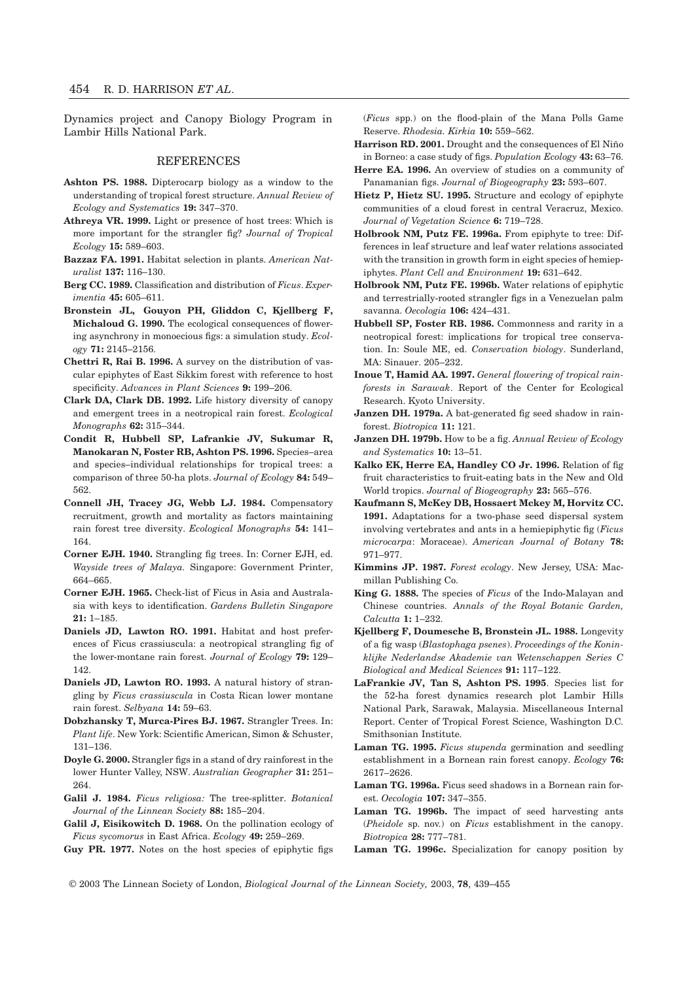Dynamics project and Canopy Biology Program in Lambir Hills National Park.

#### REFERENCES

- **Ashton PS. 1988.** Dipterocarp biology as a window to the understanding of tropical forest structure. *Annual Review of Ecology and Systematics* **19:** 347–370.
- **Athreya VR. 1999.** Light or presence of host trees: Which is more important for the strangler fig? *Journal of Tropical Ecology* **15:** 589–603.
- **Bazzaz FA. 1991.** Habitat selection in plants. *American Naturalist* **137:** 116–130.
- **Berg CC. 1989.** Classification and distribution of *Ficus*. *Experimentia* **45:** 605–611.
- **Bronstein JL, Gouyon PH, Gliddon C, Kjellberg F, Michaloud G. 1990.** The ecological consequences of flowering asynchrony in monoecious figs: a simulation study. *Ecology* **71:** 2145–2156.
- **Chettri R, Rai B. 1996.** A survey on the distribution of vascular epiphytes of East Sikkim forest with reference to host specificity. *Advances in Plant Sciences* **9:** 199–206.
- **Clark DA, Clark DB. 1992.** Life history diversity of canopy and emergent trees in a neotropical rain forest. *Ecological Monographs* **62:** 315–344.
- **Condit R, Hubbell SP, Lafrankie JV, Sukumar R, Manokaran N, Foster RB, Ashton PS. 1996.** Species–area and species–individual relationships for tropical trees: a comparison of three 50-ha plots. *Journal of Ecology* **84:** 549– 562.
- **Connell JH, Tracey JG, Webb LJ. 1984.** Compensatory recruitment, growth and mortality as factors maintaining rain forest tree diversity. *Ecological Monographs* **54:** 141– 164.
- **Corner EJH. 1940.** Strangling fig trees. In: Corner EJH, ed. *Wayside trees of Malaya.* Singapore: Government Printer, 664–665.
- **Corner EJH. 1965.** Check-list of Ficus in Asia and Australasia with keys to identification. *Gardens Bulletin Singapore* **21:** 1–185.
- **Daniels JD, Lawton RO. 1991.** Habitat and host preferences of Ficus crassiuscula: a neotropical strangling fig of the lower-montane rain forest. *Journal of Ecology* **79:** 129– 142.
- **Daniels JD, Lawton RO. 1993.** A natural history of strangling by *Ficus crassiuscula* in Costa Rican lower montane rain forest. *Selbyana* **14:** 59–63.
- **Dobzhansky T, Murca-Pires BJ. 1967.** Strangler Trees. In: *Plant life*. New York: Scientific American, Simon & Schuster, 131–136.
- **Doyle G. 2000.** Strangler figs in a stand of dry rainforest in the lower Hunter Valley, NSW. *Australian Geographer* **31:** 251– 264.
- **Galil J. 1984.** *Ficus religiosa:* The tree-splitter. *Botanical Journal of the Linnean Society* **88:** 185–204.
- **Galil J, Eisikowitch D. 1968.** On the pollination ecology of *Ficus sycomorus* in East Africa. *Ecology* **49:** 259–269.

**Guy PR. 1977.** Notes on the host species of epiphytic figs

(*Ficus* spp.) on the flood-plain of the Mana Polls Game Reserve. *Rhodesia. Kirkia* **10:** 559–562.

- **Harrison RD. 2001.** Drought and the consequences of El Niño in Borneo: a case study of figs. *Population Ecology* **43:** 63–76.
- **Herre EA. 1996.** An overview of studies on a community of Panamanian figs. *Journal of Biogeography* **23:** 593–607.
- **Hietz P, Hietz SU. 1995.** Structure and ecology of epiphyte communities of a cloud forest in central Veracruz, Mexico. *Journal of Vegetation Science* **6:** 719–728.
- **Holbrook NM, Putz FE. 1996a.** From epiphyte to tree: Differences in leaf structure and leaf water relations associated with the transition in growth form in eight species of hemiepiphytes. *Plant Cell and Environment* **19:** 631–642.
- **Holbrook NM, Putz FE. 1996b.** Water relations of epiphytic and terrestrially-rooted strangler figs in a Venezuelan palm savanna. *Oecologia* **106:** 424–431.
- **Hubbell SP, Foster RB. 1986.** Commonness and rarity in a neotropical forest: implications for tropical tree conservation. In: Soule ME, ed. *Conservation biology*. Sunderland, MA: Sinauer. 205–232.
- **Inoue T, Hamid AA. 1997.** *General flowering of tropical rainforests in Sarawak*. Report of the Center for Ecological Research. Kyoto University.
- **Janzen DH. 1979a.** A bat-generated fig seed shadow in rainforest. *Biotropica* **11:** 121.
- **Janzen DH. 1979b.** How to be a fig. *Annual Review of Ecology and Systematics* **10:** 13–51.
- **Kalko EK, Herre EA, Handley CO Jr. 1996.** Relation of fig fruit characteristics to fruit-eating bats in the New and Old World tropics. *Journal of Biogeography* **23:** 565–576.
- **Kaufmann S, McKey DB, Hossaert Mckey M, Horvitz CC. 1991.** Adaptations for a two-phase seed dispersal system involving vertebrates and ants in a hemiepiphytic fig (*Ficus microcarpa*: Moraceae). *American Journal of Botany* **78:** 971–977.
- **Kimmins JP. 1987.** *Forest ecology*. New Jersey, USA: Macmillan Publishing Co.
- **King G. 1888.** The species of *Ficus* of the Indo-Malayan and Chinese countries. *Annals of the Royal Botanic Garden, Calcutta* **1:** 1–232.
- **Kjellberg F, Doumesche B, Bronstein JL. 1988.** Longevity of a fig wasp (*Blastophaga psenes*). *Proceedings of the Koninklijke Nederlandse Akademie van Wetenschappen Series C Biological and Medical Sciences* **91:** 117–122.
- **LaFrankie JV, Tan S, Ashton PS. 1995**. Species list for the 52-ha forest dynamics research plot Lambir Hills National Park, Sarawak, Malaysia. Miscellaneous Internal Report. Center of Tropical Forest Science, Washington D.C. Smithsonian Institute.
- **Laman TG. 1995.** *Ficus stupenda* germination and seedling establishment in a Bornean rain forest canopy. *Ecology* **76:** 2617–2626.
- **Laman TG. 1996a.** Ficus seed shadows in a Bornean rain forest. *Oecologia* **107:** 347–355.
- **Laman TG. 1996b.** The impact of seed harvesting ants (*Pheidole* sp. nov.) on *Ficus* establishment in the canopy. *Biotropica* **28:** 777–781.
- **Laman TG. 1996c.** Specialization for canopy position by